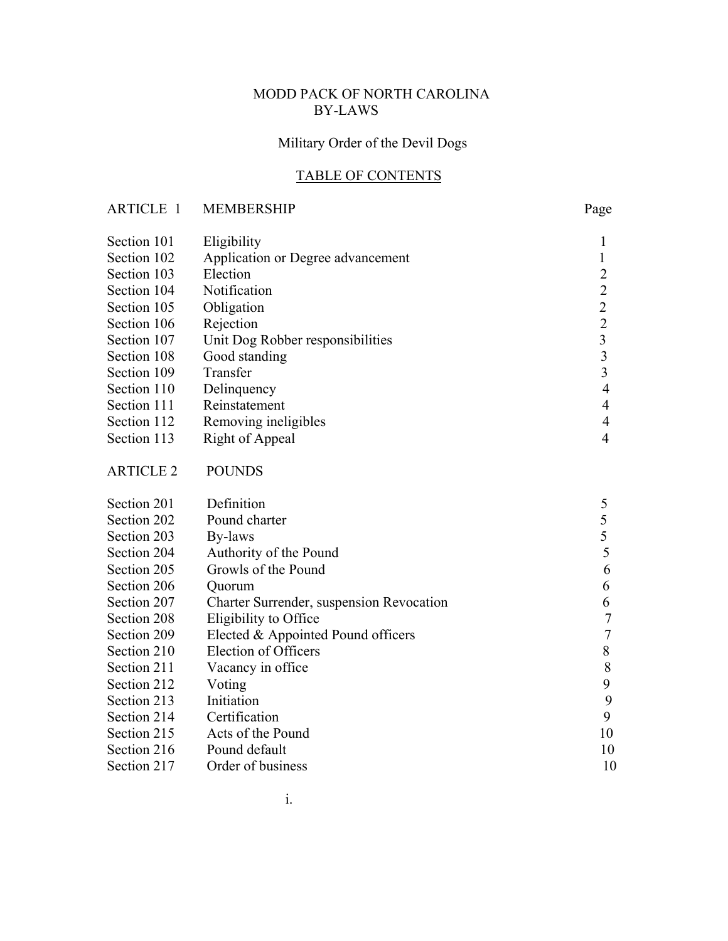### MODD PACK OF NORTH CAROLINA BY-LAWS

# Military Order of the Devil Dogs

### TABLE OF CONTENTS

# ARTICLE 1 MEMBERSHIP Page

| Section 101      | Eligibility                              | 1                       |
|------------------|------------------------------------------|-------------------------|
| Section 102      | Application or Degree advancement        | 1                       |
| Section 103      | Election                                 | 2                       |
| Section 104      | Notification                             | $\overline{2}$          |
| Section 105      | Obligation                               | $\overline{2}$          |
| Section 106      | Rejection                                | $\overline{2}$          |
| Section 107      | Unit Dog Robber responsibilities         | $\mathfrak{Z}$          |
| Section 108      | Good standing                            | $\mathfrak{Z}$          |
| Section 109      | Transfer                                 | $\overline{\mathbf{3}}$ |
| Section 110      | Delinquency                              | $\overline{4}$          |
| Section 111      | Reinstatement                            | 4                       |
| Section 112      | Removing ineligibles                     | $\overline{4}$          |
| Section 113      | Right of Appeal                          | $\overline{4}$          |
| <b>ARTICLE 2</b> | <b>POUNDS</b>                            |                         |
| Section 201      | Definition                               | 5                       |
| Section 202      | Pound charter                            | 5                       |
| Section 203      | By-laws                                  | 5                       |
| Section 204      | Authority of the Pound                   | 5                       |
| Section 205      | Growls of the Pound                      | 6                       |
| Section 206      | Quorum                                   | 6                       |
| Section 207      | Charter Surrender, suspension Revocation | 6                       |
| Section 208      | Eligibility to Office                    | $\overline{7}$          |
| Section 209      | Elected & Appointed Pound officers       | $\overline{7}$          |
| Section 210      | Election of Officers                     | 8                       |
| Section 211      | Vacancy in office                        | 8                       |
|                  | $\mathbf{v}$ $\mathbf{v}$                | $\sim$                  |

| $\text{O}\text{C}\text{C}\text{H}\text{O}\text{H}$ $\angle$ 1.1 | vacalicy in orrice |    |
|-----------------------------------------------------------------|--------------------|----|
| Section 212                                                     | Voting             |    |
| Section 213                                                     | Initiation         |    |
| Section 214                                                     | Certification      |    |
| Section 215                                                     | Acts of the Pound  | 10 |
| Section 216                                                     | Pound default      | 10 |
| Section 217                                                     | Order of business  | 10 |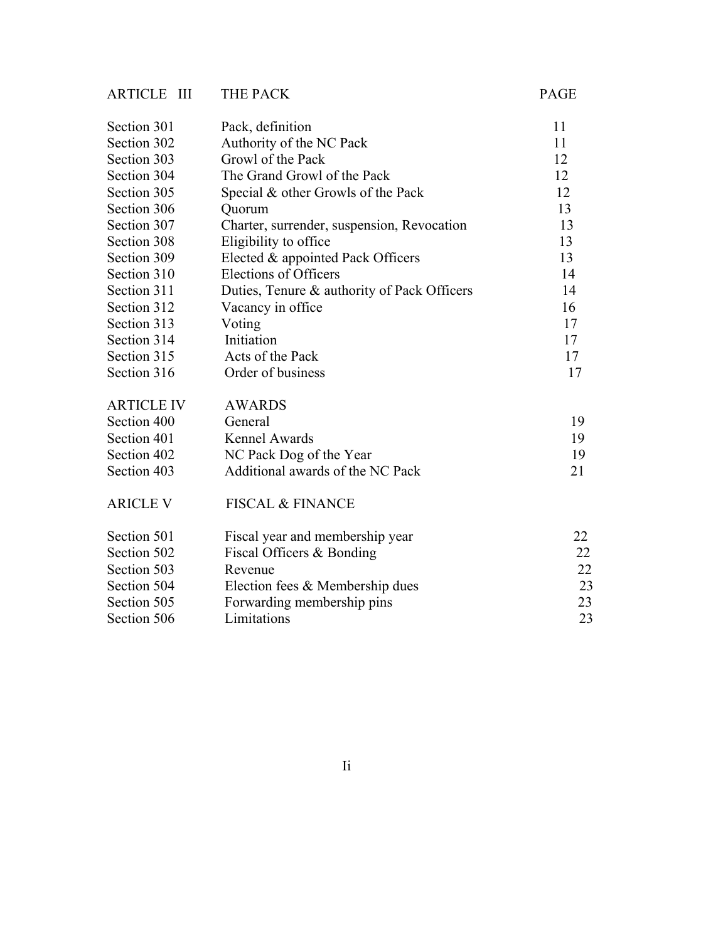# ARTICLE III THE PACK PAGE

| Section 301       | Pack, definition                            | 11 |
|-------------------|---------------------------------------------|----|
| Section 302       | Authority of the NC Pack                    | 11 |
| Section 303       | Growl of the Pack                           | 12 |
| Section 304       | The Grand Growl of the Pack                 | 12 |
| Section 305       | Special & other Growls of the Pack          | 12 |
| Section 306       | Quorum                                      | 13 |
| Section 307       | Charter, surrender, suspension, Revocation  | 13 |
| Section 308       | Eligibility to office                       | 13 |
| Section 309       | Elected & appointed Pack Officers           | 13 |
| Section 310       | <b>Elections of Officers</b>                | 14 |
| Section 311       | Duties, Tenure & authority of Pack Officers | 14 |
| Section 312       | Vacancy in office                           | 16 |
| Section 313       | Voting                                      | 17 |
| Section 314       | Initiation                                  | 17 |
| Section 315       | Acts of the Pack                            | 17 |
| Section 316       | Order of business                           | 17 |
| <b>ARTICLE IV</b> | <b>AWARDS</b>                               |    |
| Section 400       | General                                     | 19 |
| Section 401       | Kennel Awards                               | 19 |
| Section 402       | NC Pack Dog of the Year                     | 19 |
| Section 403       | Additional awards of the NC Pack            | 21 |
| <b>ARICLE V</b>   | <b>FISCAL &amp; FINANCE</b>                 |    |
| Section 501       | Fiscal year and membership year             | 22 |
| Section 502       | Fiscal Officers & Bonding                   | 22 |
| Section 503       | Revenue                                     | 22 |
| Section 504       | Election fees & Membership dues             | 23 |
| Section 505       | Forwarding membership pins                  | 23 |
| Section 506       | Limitations                                 | 23 |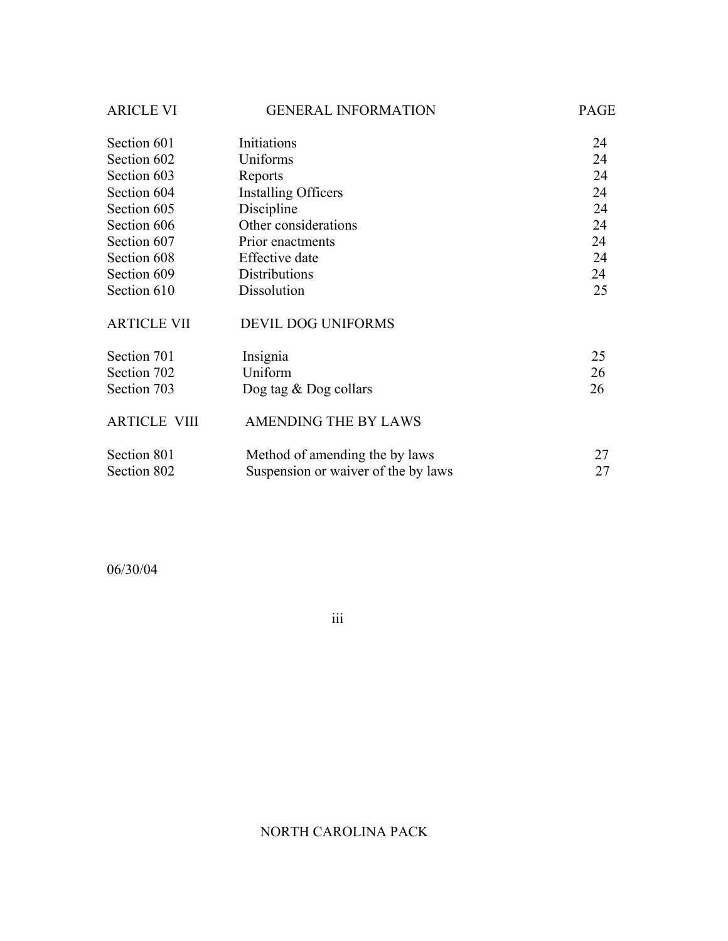| <b>ARICLE VI</b>    | <b>GENERAL INFORMATION</b>          | PAGE |
|---------------------|-------------------------------------|------|
| Section 601         | Initiations                         | 24   |
| Section 602         | Uniforms                            | 24   |
| Section 603         | Reports                             | 24   |
| Section 604         | Installing Officers                 | 24   |
| Section 605         | Discipline                          | 24   |
| Section 606         | Other considerations                | 24   |
| Section 607         | Prior enactments                    | 24   |
| Section 608         | <b>Effective</b> date               | 24   |
| Section 609         | Distributions                       | 24   |
| Section 610         | Dissolution                         | 25   |
| <b>ARTICLE VII</b>  | DEVIL DOG UNIFORMS                  |      |
| Section 701         | Insignia                            | 25   |
| Section 702         | Uniform                             | 26   |
| Section 703         | Dog tag $&$ Dog collars             | 26   |
| <b>ARTICLE VIII</b> | <b>AMENDING THE BY LAWS</b>         |      |
| Section 801         | Method of amending the by laws      | 27   |
| Section 802         | Suspension or waiver of the by laws | 27   |

06/30/04

<u>iii isaacaan ah ah iir</u>

# NORTH CAROLINA PACK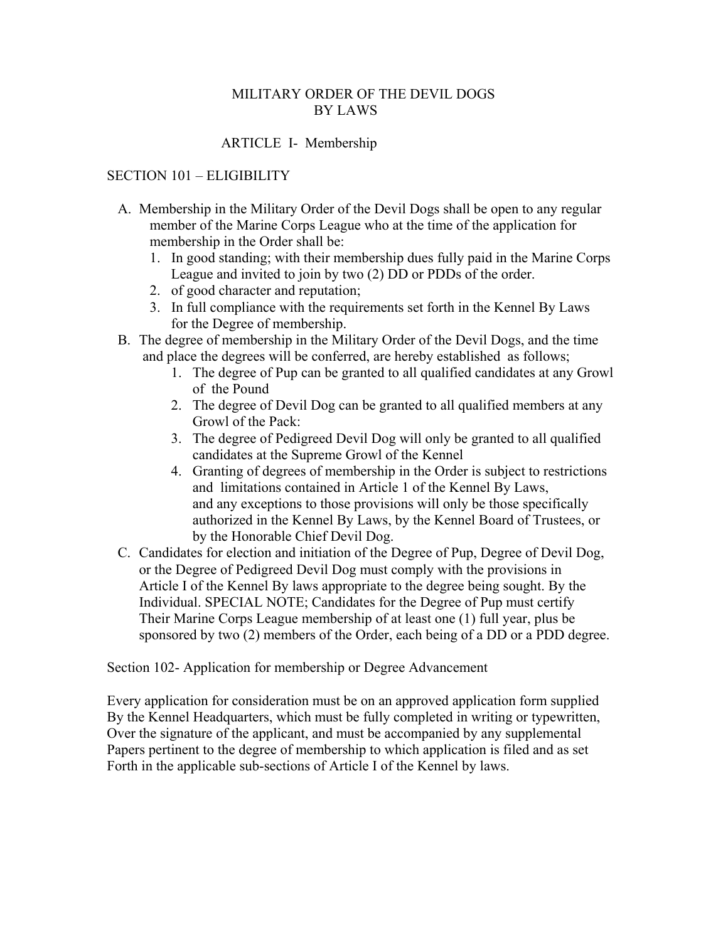### MILITARY ORDER OF THE DEVIL DOGS BY LAWS

### ARTICLE I- Membership

### SECTION 101 – ELIGIBILITY

- A. Membership in the Military Order of the Devil Dogs shall be open to any regular member of the Marine Corps League who at the time of the application for membership in the Order shall be:
	- 1. In good standing; with their membership dues fully paid in the Marine Corps League and invited to join by two (2) DD or PDDs of the order.
	- 2. of good character and reputation;
	- 3. In full compliance with the requirements set forth in the Kennel By Laws for the Degree of membership.
- B. The degree of membership in the Military Order of the Devil Dogs, and the time and place the degrees will be conferred, are hereby established as follows;
	- 1. The degree of Pup can be granted to all qualified candidates at any Growl of the Pound
	- 2. The degree of Devil Dog can be granted to all qualified members at any Growl of the Pack:
	- 3. The degree of Pedigreed Devil Dog will only be granted to all qualified candidates at the Supreme Growl of the Kennel
	- 4. Granting of degrees of membership in the Order is subject to restrictions and limitations contained in Article 1 of the Kennel By Laws, and any exceptions to those provisions will only be those specifically authorized in the Kennel By Laws, by the Kennel Board of Trustees, or by the Honorable Chief Devil Dog.
- C. Candidates for election and initiation of the Degree of Pup, Degree of Devil Dog, or the Degree of Pedigreed Devil Dog must comply with the provisions in Article I of the Kennel By laws appropriate to the degree being sought. By the Individual. SPECIAL NOTE; Candidates for the Degree of Pup must certify Their Marine Corps League membership of at least one (1) full year, plus be sponsored by two (2) members of the Order, each being of a DD or a PDD degree.

Section 102- Application for membership or Degree Advancement

Every application for consideration must be on an approved application form supplied By the Kennel Headquarters, which must be fully completed in writing or typewritten, Over the signature of the applicant, and must be accompanied by any supplemental Papers pertinent to the degree of membership to which application is filed and as set Forth in the applicable sub-sections of Article I of the Kennel by laws.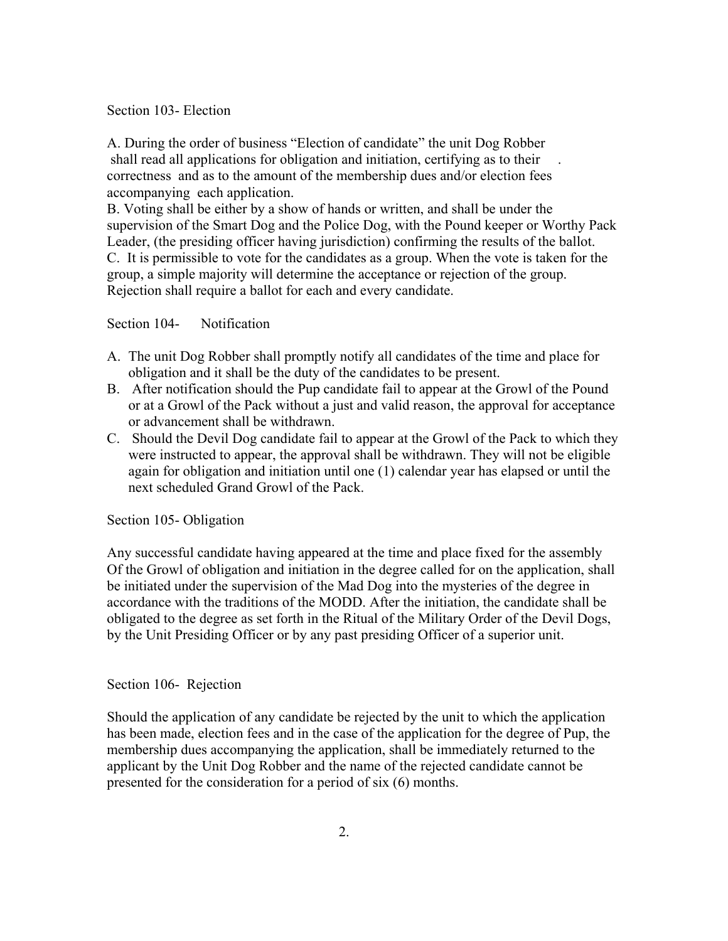### Section 103- Election

A. During the order of business "Election of candidate" the unit Dog Robber shall read all applications for obligation and initiation, certifying as to their . correctness and as to the amount of the membership dues and/or election fees accompanying each application.

B. Voting shall be either by a show of hands or written, and shall be under the supervision of the Smart Dog and the Police Dog, with the Pound keeper or Worthy Pack Leader, (the presiding officer having jurisdiction) confirming the results of the ballot. C. It is permissible to vote for the candidates as a group. When the vote is taken for the group, a simple majority will determine the acceptance or rejection of the group. Rejection shall require a ballot for each and every candidate.

#### Section 104- Notification

- A. The unit Dog Robber shall promptly notify all candidates of the time and place for obligation and it shall be the duty of the candidates to be present.
- B. After notification should the Pup candidate fail to appear at the Growl of the Pound or at a Growl of the Pack without a just and valid reason, the approval for acceptance or advancement shall be withdrawn.
- C. Should the Devil Dog candidate fail to appear at the Growl of the Pack to which they were instructed to appear, the approval shall be withdrawn. They will not be eligible again for obligation and initiation until one (1) calendar year has elapsed or until the next scheduled Grand Growl of the Pack.

### Section 105- Obligation

Any successful candidate having appeared at the time and place fixed for the assembly Of the Growl of obligation and initiation in the degree called for on the application, shall be initiated under the supervision of the Mad Dog into the mysteries of the degree in accordance with the traditions of the MODD. After the initiation, the candidate shall be obligated to the degree as set forth in the Ritual of the Military Order of the Devil Dogs, by the Unit Presiding Officer or by any past presiding Officer of a superior unit.

### Section 106- Rejection

Should the application of any candidate be rejected by the unit to which the application has been made, election fees and in the case of the application for the degree of Pup, the membership dues accompanying the application, shall be immediately returned to the applicant by the Unit Dog Robber and the name of the rejected candidate cannot be presented for the consideration for a period of six (6) months.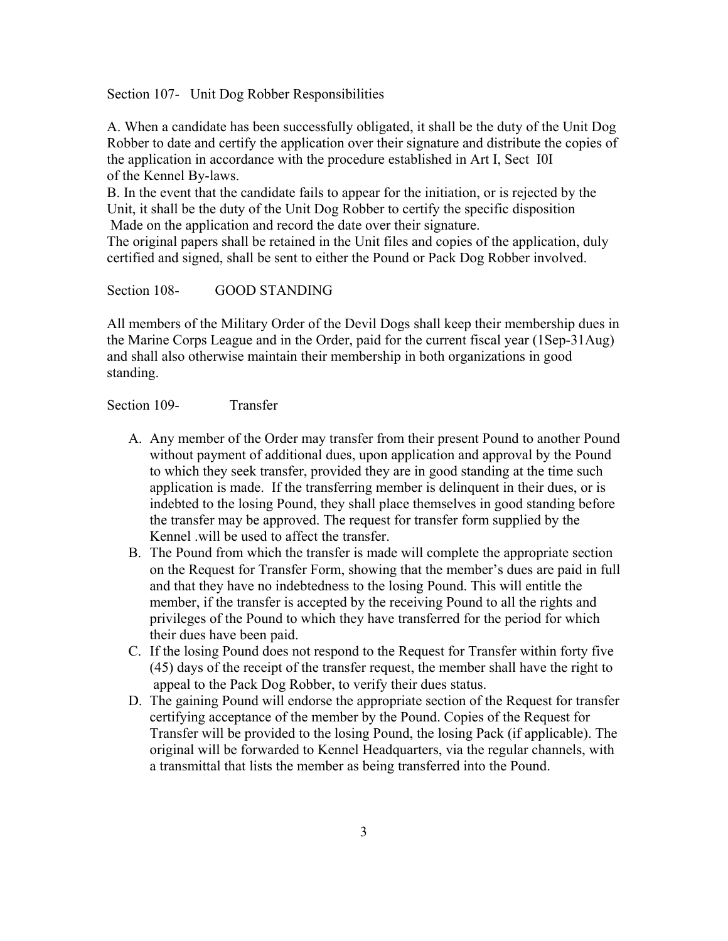Section 107- Unit Dog Robber Responsibilities

A. When a candidate has been successfully obligated, it shall be the duty of the Unit Dog Robber to date and certify the application over their signature and distribute the copies of the application in accordance with the procedure established in Art I, Sect I0I of the Kennel By-laws.

B. In the event that the candidate fails to appear for the initiation, or is rejected by the Unit, it shall be the duty of the Unit Dog Robber to certify the specific disposition Made on the application and record the date over their signature.

The original papers shall be retained in the Unit files and copies of the application, duly certified and signed, shall be sent to either the Pound or Pack Dog Robber involved.

Section 108- GOOD STANDING

All members of the Military Order of the Devil Dogs shall keep their membership dues in the Marine Corps League and in the Order, paid for the current fiscal year (1Sep-31Aug) and shall also otherwise maintain their membership in both organizations in good standing.

Section 109-<br>
Transfer

- A. Any member of the Order may transfer from their present Pound to another Pound without payment of additional dues, upon application and approval by the Pound to which they seek transfer, provided they are in good standing at the time such application is made. If the transferring member is delinquent in their dues, or is indebted to the losing Pound, they shall place themselves in good standing before the transfer may be approved. The request for transfer form supplied by the Kennel .will be used to affect the transfer.
- B. The Pound from which the transfer is made will complete the appropriate section on the Request for Transfer Form, showing that the member's dues are paid in full and that they have no indebtedness to the losing Pound. This will entitle the member, if the transfer is accepted by the receiving Pound to all the rights and privileges of the Pound to which they have transferred for the period for which their dues have been paid.
- C. If the losing Pound does not respond to the Request for Transfer within forty five (45) days of the receipt of the transfer request, the member shall have the right to appeal to the Pack Dog Robber, to verify their dues status.
- D. The gaining Pound will endorse the appropriate section of the Request for transfer certifying acceptance of the member by the Pound. Copies of the Request for Transfer will be provided to the losing Pound, the losing Pack (if applicable). The original will be forwarded to Kennel Headquarters, via the regular channels, with a transmittal that lists the member as being transferred into the Pound.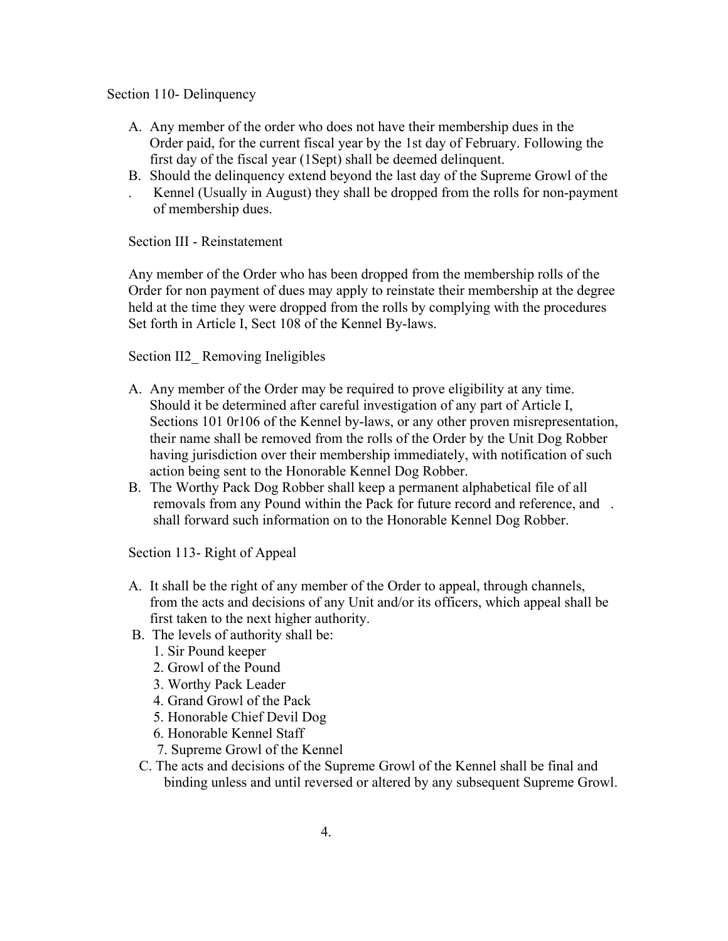### Section 110- Delinquency

- A. Any member of the order who does not have their membership dues in the Order paid, for the current fiscal year by the 1st day of February. Following the first day of the fiscal year (1Sept) shall be deemed delinquent.
- B. Should the delinquency extend beyond the last day of the Supreme Growl of the . Kennel (Usually in August) they shall be dropped from the rolls for non-payment of membership dues.

Section III - Reinstatement

Any member of the Order who has been dropped from the membership rolls of the Order for non payment of dues may apply to reinstate their membership at the degree held at the time they were dropped from the rolls by complying with the procedures Set forth in Article I, Sect 108 of the Kennel By-laws.

Section II2 Removing Ineligibles

- A. Any member of the Order may be required to prove eligibility at any time. Should it be determined after careful investigation of any part of Article I, Sections 101 0r106 of the Kennel by-laws, or any other proven misrepresentation, their name shall be removed from the rolls of the Order by the Unit Dog Robber having jurisdiction over their membership immediately, with notification of such action being sent to the Honorable Kennel Dog Robber.
- B. The Worthy Pack Dog Robber shall keep a permanent alphabetical file of all removals from any Pound within the Pack for future record and reference, and . shall forward such information on to the Honorable Kennel Dog Robber.

Section 113- Right of Appeal

- A. It shall be the right of any member of the Order to appeal, through channels, from the acts and decisions of any Unit and/or its officers, which appeal shall be first taken to the next higher authority.
- B. The levels of authority shall be:
	- 1. Sir Pound keeper
	- 2. Growl of the Pound
	- 3. Worthy Pack Leader
	- 4. Grand Growl of the Pack
	- 5. Honorable Chief Devil Dog
	- 6. Honorable Kennel Staff
	- 7. Supreme Growl of the Kennel
- C. The acts and decisions of the Supreme Growl of the Kennel shall be final and binding unless and until reversed or altered by any subsequent Supreme Growl.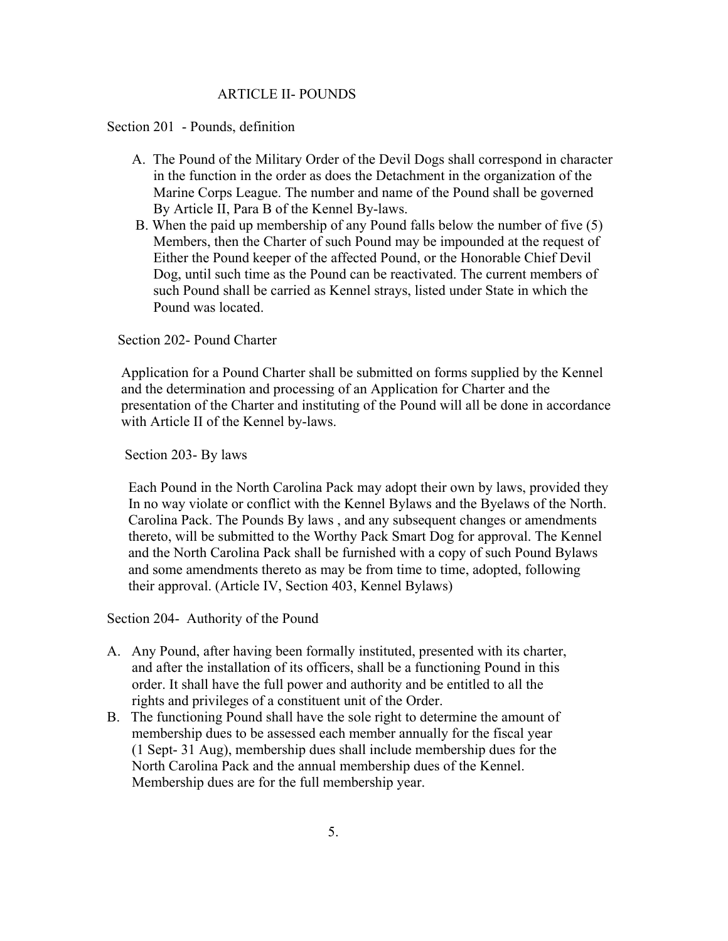### ARTICLE II- POUNDS

### Section 201 - Pounds, definition

- A. The Pound of the Military Order of the Devil Dogs shall correspond in character in the function in the order as does the Detachment in the organization of the Marine Corps League. The number and name of the Pound shall be governed By Article II, Para B of the Kennel By-laws.
- B. When the paid up membership of any Pound falls below the number of five (5) Members, then the Charter of such Pound may be impounded at the request of Either the Pound keeper of the affected Pound, or the Honorable Chief Devil Dog, until such time as the Pound can be reactivated. The current members of such Pound shall be carried as Kennel strays, listed under State in which the Pound was located.

Section 202- Pound Charter

 Application for a Pound Charter shall be submitted on forms supplied by the Kennel and the determination and processing of an Application for Charter and the presentation of the Charter and instituting of the Pound will all be done in accordance with Article II of the Kennel by-laws.

Section 203- By laws

 Each Pound in the North Carolina Pack may adopt their own by laws, provided they In no way violate or conflict with the Kennel Bylaws and the Byelaws of the North. Carolina Pack. The Pounds By laws , and any subsequent changes or amendments thereto, will be submitted to the Worthy Pack Smart Dog for approval. The Kennel and the North Carolina Pack shall be furnished with a copy of such Pound Bylaws and some amendments thereto as may be from time to time, adopted, following their approval. (Article IV, Section 403, Kennel Bylaws)

Section 204- Authority of the Pound

- A. Any Pound, after having been formally instituted, presented with its charter, and after the installation of its officers, shall be a functioning Pound in this order. It shall have the full power and authority and be entitled to all the rights and privileges of a constituent unit of the Order.
- B. The functioning Pound shall have the sole right to determine the amount of membership dues to be assessed each member annually for the fiscal year (1 Sept- 31 Aug), membership dues shall include membership dues for the North Carolina Pack and the annual membership dues of the Kennel. Membership dues are for the full membership year.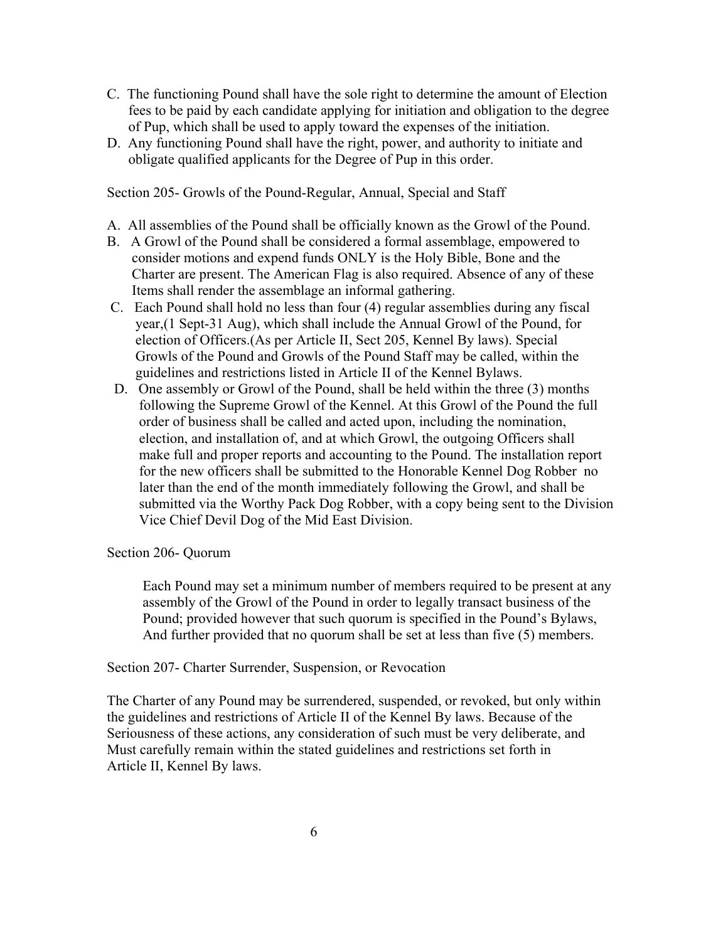- C. The functioning Pound shall have the sole right to determine the amount of Election fees to be paid by each candidate applying for initiation and obligation to the degree of Pup, which shall be used to apply toward the expenses of the initiation.
- D. Any functioning Pound shall have the right, power, and authority to initiate and obligate qualified applicants for the Degree of Pup in this order.

Section 205- Growls of the Pound-Regular, Annual, Special and Staff

- A. All assemblies of the Pound shall be officially known as the Growl of the Pound.
- B. A Growl of the Pound shall be considered a formal assemblage, empowered to consider motions and expend funds ONLY is the Holy Bible, Bone and the Charter are present. The American Flag is also required. Absence of any of these Items shall render the assemblage an informal gathering.
- C. Each Pound shall hold no less than four (4) regular assemblies during any fiscal year,(1 Sept-31 Aug), which shall include the Annual Growl of the Pound, for election of Officers.(As per Article II, Sect 205, Kennel By laws). Special Growls of the Pound and Growls of the Pound Staff may be called, within the guidelines and restrictions listed in Article II of the Kennel Bylaws.
- D. One assembly or Growl of the Pound, shall be held within the three (3) months following the Supreme Growl of the Kennel. At this Growl of the Pound the full order of business shall be called and acted upon, including the nomination, election, and installation of, and at which Growl, the outgoing Officers shall make full and proper reports and accounting to the Pound. The installation report for the new officers shall be submitted to the Honorable Kennel Dog Robber no later than the end of the month immediately following the Growl, and shall be submitted via the Worthy Pack Dog Robber, with a copy being sent to the Division Vice Chief Devil Dog of the Mid East Division.

Section 206- Quorum

 Each Pound may set a minimum number of members required to be present at any assembly of the Growl of the Pound in order to legally transact business of the Pound; provided however that such quorum is specified in the Pound's Bylaws, And further provided that no quorum shall be set at less than five (5) members.

Section 207- Charter Surrender, Suspension, or Revocation

The Charter of any Pound may be surrendered, suspended, or revoked, but only within the guidelines and restrictions of Article II of the Kennel By laws. Because of the Seriousness of these actions, any consideration of such must be very deliberate, and Must carefully remain within the stated guidelines and restrictions set forth in Article II, Kennel By laws.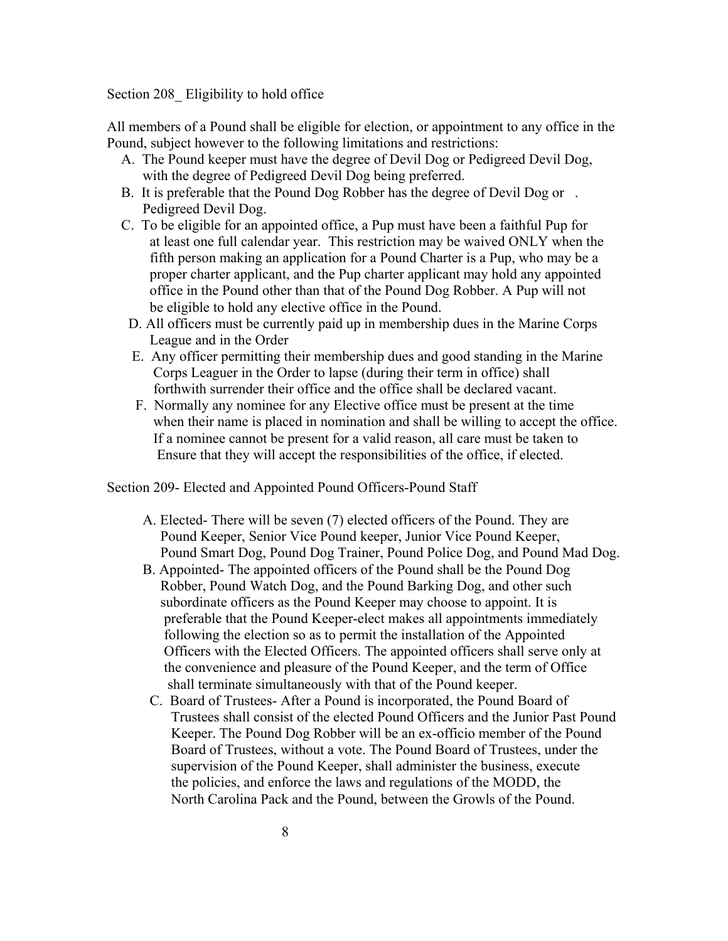Section 208 Eligibility to hold office

All members of a Pound shall be eligible for election, or appointment to any office in the Pound, subject however to the following limitations and restrictions:

- A. The Pound keeper must have the degree of Devil Dog or Pedigreed Devil Dog, with the degree of Pedigreed Devil Dog being preferred.
- B. It is preferable that the Pound Dog Robber has the degree of Devil Dog or . Pedigreed Devil Dog.
- C. To be eligible for an appointed office, a Pup must have been a faithful Pup for at least one full calendar year. This restriction may be waived ONLY when the fifth person making an application for a Pound Charter is a Pup, who may be a proper charter applicant, and the Pup charter applicant may hold any appointed office in the Pound other than that of the Pound Dog Robber. A Pup will not be eligible to hold any elective office in the Pound.
- D. All officers must be currently paid up in membership dues in the Marine Corps League and in the Order
- E. Any officer permitting their membership dues and good standing in the Marine Corps Leaguer in the Order to lapse (during their term in office) shall forthwith surrender their office and the office shall be declared vacant.
- F. Normally any nominee for any Elective office must be present at the time when their name is placed in nomination and shall be willing to accept the office. If a nominee cannot be present for a valid reason, all care must be taken to Ensure that they will accept the responsibilities of the office, if elected.

Section 209- Elected and Appointed Pound Officers-Pound Staff

- A. Elected- There will be seven (7) elected officers of the Pound. They are Pound Keeper, Senior Vice Pound keeper, Junior Vice Pound Keeper, Pound Smart Dog, Pound Dog Trainer, Pound Police Dog, and Pound Mad Dog.
- B. Appointed- The appointed officers of the Pound shall be the Pound Dog Robber, Pound Watch Dog, and the Pound Barking Dog, and other such subordinate officers as the Pound Keeper may choose to appoint. It is preferable that the Pound Keeper-elect makes all appointments immediately following the election so as to permit the installation of the Appointed Officers with the Elected Officers. The appointed officers shall serve only at the convenience and pleasure of the Pound Keeper, and the term of Office shall terminate simultaneously with that of the Pound keeper.
- C. Board of Trustees- After a Pound is incorporated, the Pound Board of Trustees shall consist of the elected Pound Officers and the Junior Past Pound Keeper. The Pound Dog Robber will be an ex-officio member of the Pound Board of Trustees, without a vote. The Pound Board of Trustees, under the supervision of the Pound Keeper, shall administer the business, execute the policies, and enforce the laws and regulations of the MODD, the North Carolina Pack and the Pound, between the Growls of the Pound.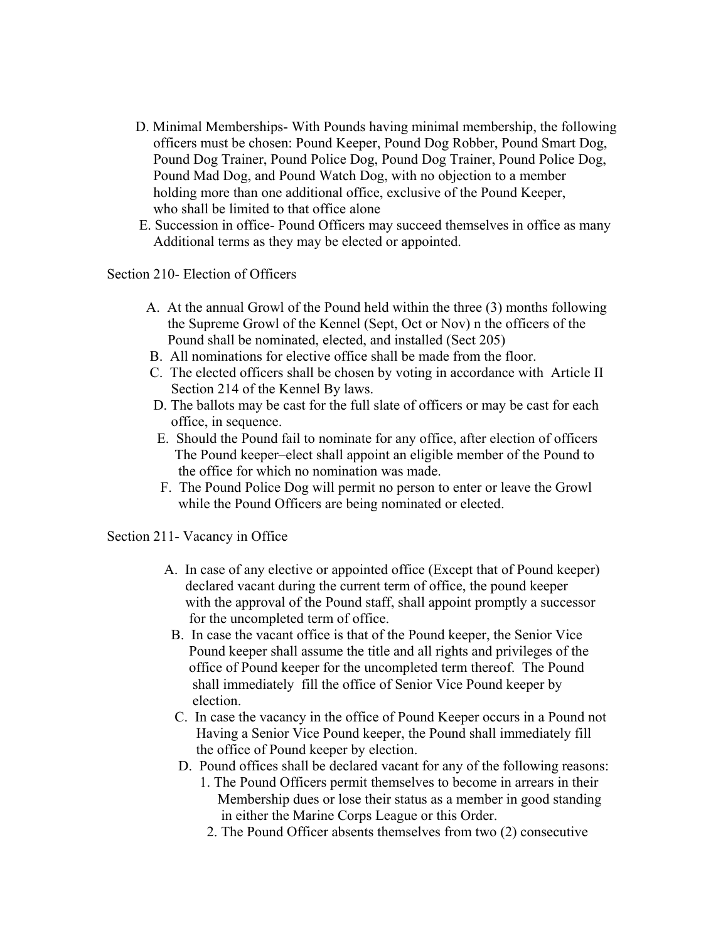- D. Minimal Memberships- With Pounds having minimal membership, the following officers must be chosen: Pound Keeper, Pound Dog Robber, Pound Smart Dog, Pound Dog Trainer, Pound Police Dog, Pound Dog Trainer, Pound Police Dog, Pound Mad Dog, and Pound Watch Dog, with no objection to a member holding more than one additional office, exclusive of the Pound Keeper, who shall be limited to that office alone
- E. Succession in office- Pound Officers may succeed themselves in office as many Additional terms as they may be elected or appointed.

Section 210- Election of Officers

- A. At the annual Growl of the Pound held within the three (3) months following the Supreme Growl of the Kennel (Sept, Oct or Nov) n the officers of the Pound shall be nominated, elected, and installed (Sect 205)
- B. All nominations for elective office shall be made from the floor.
- C. The elected officers shall be chosen by voting in accordance with Article II Section 214 of the Kennel By laws.
- D. The ballots may be cast for the full slate of officers or may be cast for each office, in sequence.
- E. Should the Pound fail to nominate for any office, after election of officers The Pound keeper–elect shall appoint an eligible member of the Pound to the office for which no nomination was made.
- F. The Pound Police Dog will permit no person to enter or leave the Growl while the Pound Officers are being nominated or elected.

Section 211- Vacancy in Office

- A. In case of any elective or appointed office (Except that of Pound keeper) declared vacant during the current term of office, the pound keeper with the approval of the Pound staff, shall appoint promptly a successor for the uncompleted term of office.
- B. In case the vacant office is that of the Pound keeper, the Senior Vice Pound keeper shall assume the title and all rights and privileges of the office of Pound keeper for the uncompleted term thereof. The Pound shall immediately fill the office of Senior Vice Pound keeper by election.
- C. In case the vacancy in the office of Pound Keeper occurs in a Pound not Having a Senior Vice Pound keeper, the Pound shall immediately fill the office of Pound keeper by election.
- D. Pound offices shall be declared vacant for any of the following reasons:
	- 1. The Pound Officers permit themselves to become in arrears in their Membership dues or lose their status as a member in good standing in either the Marine Corps League or this Order.
	- 2. The Pound Officer absents themselves from two (2) consecutive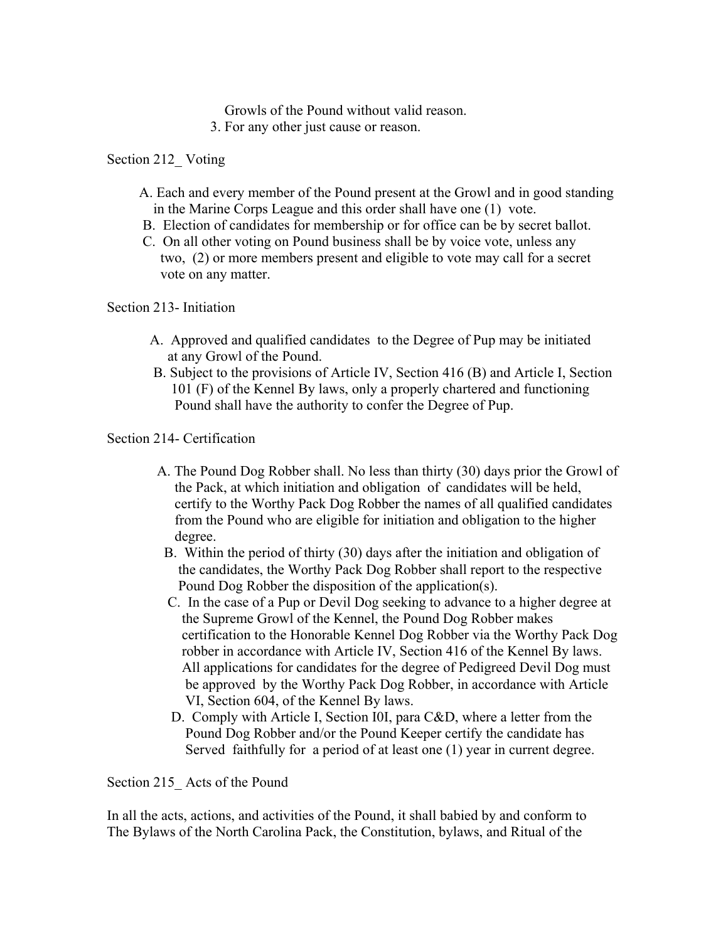Growls of the Pound without valid reason.

3. For any other just cause or reason.

Section 212\_ Voting

- A. Each and every member of the Pound present at the Growl and in good standing in the Marine Corps League and this order shall have one (1) vote.
- B. Election of candidates for membership or for office can be by secret ballot.
- C. On all other voting on Pound business shall be by voice vote, unless any two, (2) or more members present and eligible to vote may call for a secret vote on any matter.

Section 213- Initiation

- A. Approved and qualified candidates to the Degree of Pup may be initiated at any Growl of the Pound.
- B. Subject to the provisions of Article IV, Section 416 (B) and Article I, Section 101 (F) of the Kennel By laws, only a properly chartered and functioning Pound shall have the authority to confer the Degree of Pup.

Section 214- Certification

- A. The Pound Dog Robber shall. No less than thirty (30) days prior the Growl of the Pack, at which initiation and obligation of candidates will be held, certify to the Worthy Pack Dog Robber the names of all qualified candidates from the Pound who are eligible for initiation and obligation to the higher degree.
	- B. Within the period of thirty (30) days after the initiation and obligation of the candidates, the Worthy Pack Dog Robber shall report to the respective Pound Dog Robber the disposition of the application(s).
	- C. In the case of a Pup or Devil Dog seeking to advance to a higher degree at the Supreme Growl of the Kennel, the Pound Dog Robber makes certification to the Honorable Kennel Dog Robber via the Worthy Pack Dog robber in accordance with Article IV, Section 416 of the Kennel By laws. All applications for candidates for the degree of Pedigreed Devil Dog must be approved by the Worthy Pack Dog Robber, in accordance with Article VI, Section 604, of the Kennel By laws.
	- D. Comply with Article I, Section I0I, para C&D, where a letter from the Pound Dog Robber and/or the Pound Keeper certify the candidate has Served faithfully for a period of at least one (1) year in current degree.

Section 215 Acts of the Pound

In all the acts, actions, and activities of the Pound, it shall babied by and conform to The Bylaws of the North Carolina Pack, the Constitution, bylaws, and Ritual of the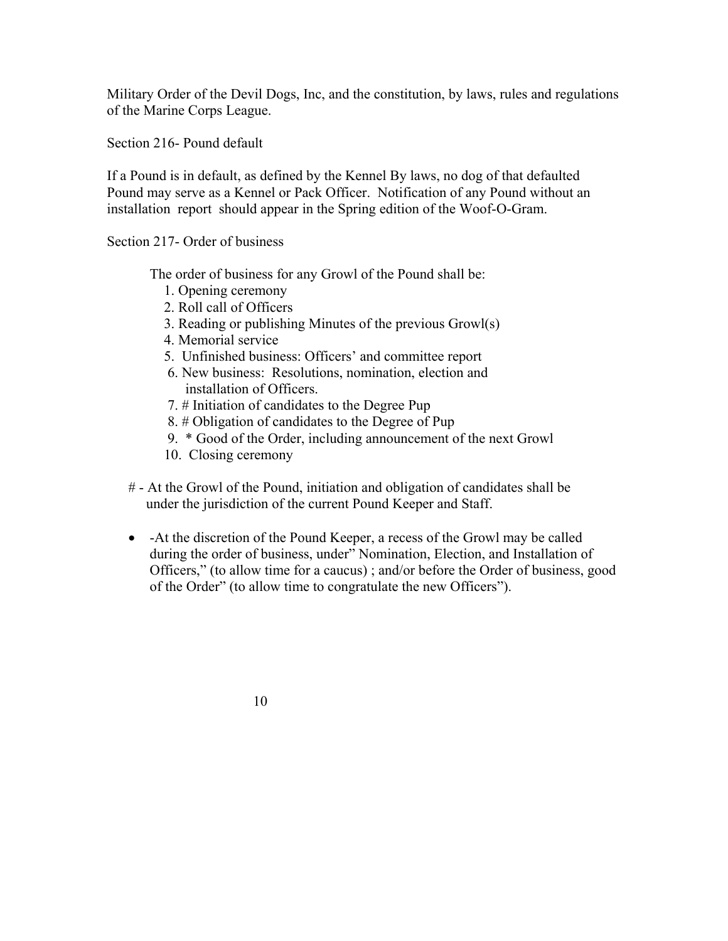Military Order of the Devil Dogs, Inc, and the constitution, by laws, rules and regulations of the Marine Corps League.

Section 216- Pound default

If a Pound is in default, as defined by the Kennel By laws, no dog of that defaulted Pound may serve as a Kennel or Pack Officer. Notification of any Pound without an installation report should appear in the Spring edition of the Woof-O-Gram.

Section 217- Order of business

The order of business for any Growl of the Pound shall be:

- 1. Opening ceremony
- 2. Roll call of Officers
- 3. Reading or publishing Minutes of the previous Growl(s)
- 4. Memorial service
- 5. Unfinished business: Officers' and committee report
- 6. New business: Resolutions, nomination, election and installation of Officers.
- 7. # Initiation of candidates to the Degree Pup
- 8. # Obligation of candidates to the Degree of Pup
- 9. \* Good of the Order, including announcement of the next Growl
- 10. Closing ceremony
- # At the Growl of the Pound, initiation and obligation of candidates shall be under the jurisdiction of the current Pound Keeper and Staff.
- -At the discretion of the Pound Keeper, a recess of the Growl may be called during the order of business, under" Nomination, Election, and Installation of Officers," (to allow time for a caucus) ; and/or before the Order of business, good of the Order" (to allow time to congratulate the new Officers").

10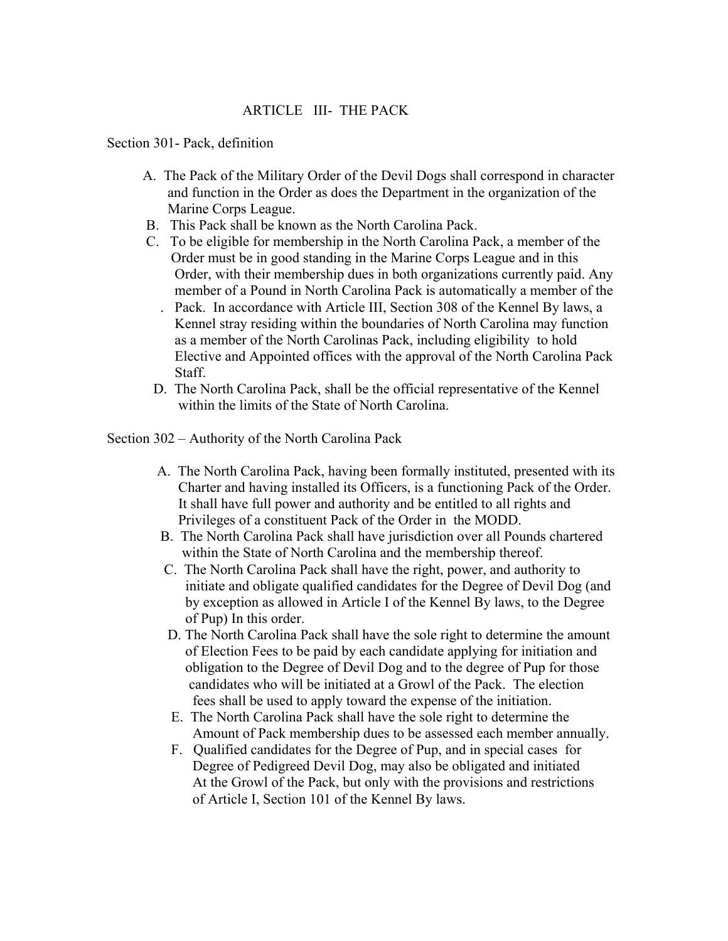### ARTICLE III- THE PACK

Section 301- Pack, definition

- A. The Pack of the Military Order of the Devil Dogs shall correspond in character and function in the Order as does the Department in the organization of the Marine Corps League.
- B. This Pack shall be known as the North Carolina Pack.
- C. To be eligible for membership in the North Carolina Pack, a member of the Order must be in good standing in the Marine Corps League and in this Order, with their membership dues in both organizations currently paid. Any member of a Pound in North Carolina Pack is automatically a member of the
	- . Pack. In accordance with Article III, Section 308 of the Kennel By laws, a Kennel stray residing within the boundaries of North Carolina may function as a member of the North Carolinas Pack, including eligibility to hold Elective and Appointed offices with the approval of the North Carolina Pack Staff.
- D. The North Carolina Pack, shall be the official representative of the Kennel within the limits of the State of North Carolina.

Section 302 – Authority of the North Carolina Pack

- A. The North Carolina Pack, having been formally instituted, presented with its Charter and having installed its Officers, is a functioning Pack of the Order. It shall have full power and authority and be entitled to all rights and Privileges of a constituent Pack of the Order in the MODD.
- B. The North Carolina Pack shall have jurisdiction over all Pounds chartered within the State of North Carolina and the membership thereof.
- C. The North Carolina Pack shall have the right, power, and authority to initiate and obligate qualified candidates for the Degree of Devil Dog (and by exception as allowed in Article I of the Kennel By laws, to the Degree of Pup) In this order.
- D. The North Carolina Pack shall have the sole right to determine the amount of Election Fees to be paid by each candidate applying for initiation and obligation to the Degree of Devil Dog and to the degree of Pup for those candidates who will be initiated at a Growl of the Pack. The election fees shall be used to apply toward the expense of the initiation.
- E. The North Carolina Pack shall have the sole right to determine the Amount of Pack membership dues to be assessed each member annually.
- F. Qualified candidates for the Degree of Pup, and in special cases for Degree of Pedigreed Devil Dog, may also be obligated and initiated At the Growl of the Pack, but only with the provisions and restrictions of Article I, Section 101 of the Kennel By laws.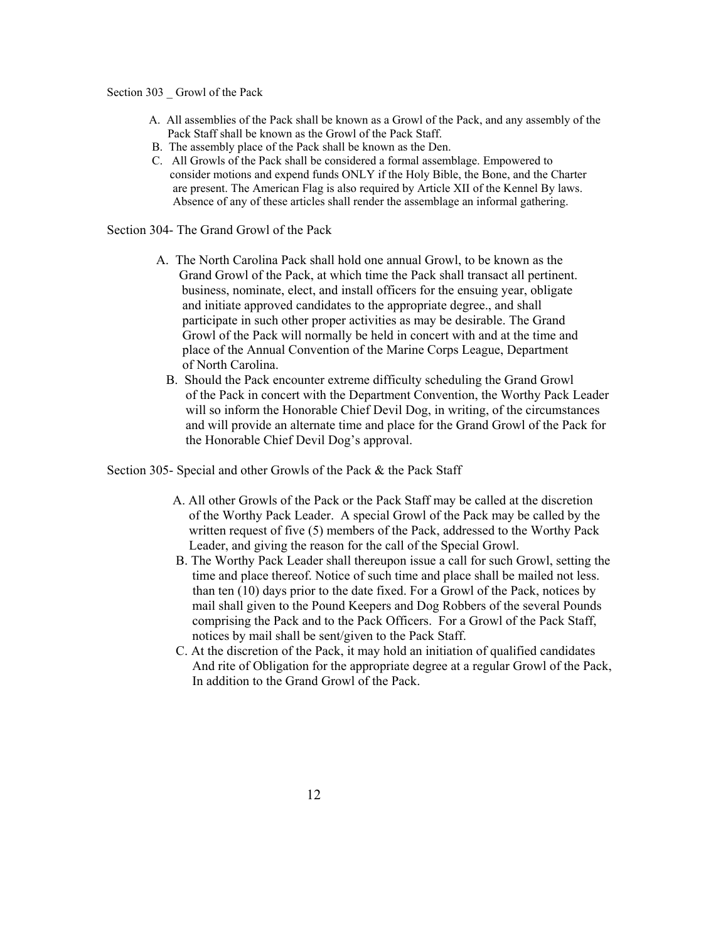#### Section 303 \_ Growl of the Pack

- A. All assemblies of the Pack shall be known as a Growl of the Pack, and any assembly of the Pack Staff shall be known as the Growl of the Pack Staff.
- B. The assembly place of the Pack shall be known as the Den.
- C. All Growls of the Pack shall be considered a formal assemblage. Empowered to consider motions and expend funds ONLY if the Holy Bible, the Bone, and the Charter are present. The American Flag is also required by Article XII of the Kennel By laws. Absence of any of these articles shall render the assemblage an informal gathering.

Section 304- The Grand Growl of the Pack

- A. The North Carolina Pack shall hold one annual Growl, to be known as the Grand Growl of the Pack, at which time the Pack shall transact all pertinent. business, nominate, elect, and install officers for the ensuing year, obligate and initiate approved candidates to the appropriate degree., and shall participate in such other proper activities as may be desirable. The Grand Growl of the Pack will normally be held in concert with and at the time and place of the Annual Convention of the Marine Corps League, Department of North Carolina.
	- B. Should the Pack encounter extreme difficulty scheduling the Grand Growl of the Pack in concert with the Department Convention, the Worthy Pack Leader will so inform the Honorable Chief Devil Dog, in writing, of the circumstances and will provide an alternate time and place for the Grand Growl of the Pack for the Honorable Chief Devil Dog's approval.

Section 305- Special and other Growls of the Pack & the Pack Staff

- A. All other Growls of the Pack or the Pack Staff may be called at the discretion of the Worthy Pack Leader. A special Growl of the Pack may be called by the written request of five (5) members of the Pack, addressed to the Worthy Pack Leader, and giving the reason for the call of the Special Growl.
- B. The Worthy Pack Leader shall thereupon issue a call for such Growl, setting the time and place thereof. Notice of such time and place shall be mailed not less. than ten (10) days prior to the date fixed. For a Growl of the Pack, notices by mail shall given to the Pound Keepers and Dog Robbers of the several Pounds comprising the Pack and to the Pack Officers. For a Growl of the Pack Staff, notices by mail shall be sent/given to the Pack Staff.
- C. At the discretion of the Pack, it may hold an initiation of qualified candidates And rite of Obligation for the appropriate degree at a regular Growl of the Pack, In addition to the Grand Growl of the Pack.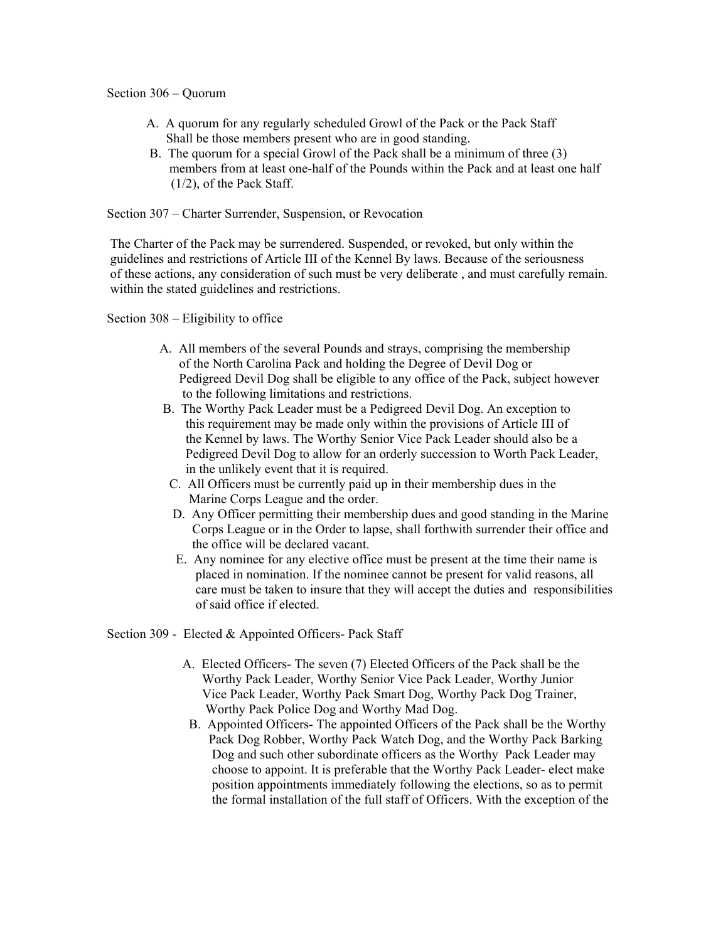Section 306 – Quorum

- A. A quorum for any regularly scheduled Growl of the Pack or the Pack Staff Shall be those members present who are in good standing.
- B. The quorum for a special Growl of the Pack shall be a minimum of three (3) members from at least one-half of the Pounds within the Pack and at least one half (1/2), of the Pack Staff.

Section 307 – Charter Surrender, Suspension, or Revocation

 The Charter of the Pack may be surrendered. Suspended, or revoked, but only within the guidelines and restrictions of Article III of the Kennel By laws. Because of the seriousness of these actions, any consideration of such must be very deliberate , and must carefully remain. within the stated guidelines and restrictions.

Section 308 – Eligibility to office

- A. All members of the several Pounds and strays, comprising the membership of the North Carolina Pack and holding the Degree of Devil Dog or Pedigreed Devil Dog shall be eligible to any office of the Pack, subject however to the following limitations and restrictions.
- B. The Worthy Pack Leader must be a Pedigreed Devil Dog. An exception to this requirement may be made only within the provisions of Article III of the Kennel by laws. The Worthy Senior Vice Pack Leader should also be a Pedigreed Devil Dog to allow for an orderly succession to Worth Pack Leader, in the unlikely event that it is required.
- C. All Officers must be currently paid up in their membership dues in the Marine Corps League and the order.
- D. Any Officer permitting their membership dues and good standing in the Marine Corps League or in the Order to lapse, shall forthwith surrender their office and the office will be declared vacant.
- E. Any nominee for any elective office must be present at the time their name is placed in nomination. If the nominee cannot be present for valid reasons, all care must be taken to insure that they will accept the duties and responsibilities of said office if elected.

Section 309 - Elected & Appointed Officers- Pack Staff

- A. Elected Officers- The seven (7) Elected Officers of the Pack shall be the Worthy Pack Leader, Worthy Senior Vice Pack Leader, Worthy Junior Vice Pack Leader, Worthy Pack Smart Dog, Worthy Pack Dog Trainer, Worthy Pack Police Dog and Worthy Mad Dog.
- B. Appointed Officers- The appointed Officers of the Pack shall be the Worthy Pack Dog Robber, Worthy Pack Watch Dog, and the Worthy Pack Barking Dog and such other subordinate officers as the Worthy Pack Leader may choose to appoint. It is preferable that the Worthy Pack Leader- elect make position appointments immediately following the elections, so as to permit the formal installation of the full staff of Officers. With the exception of the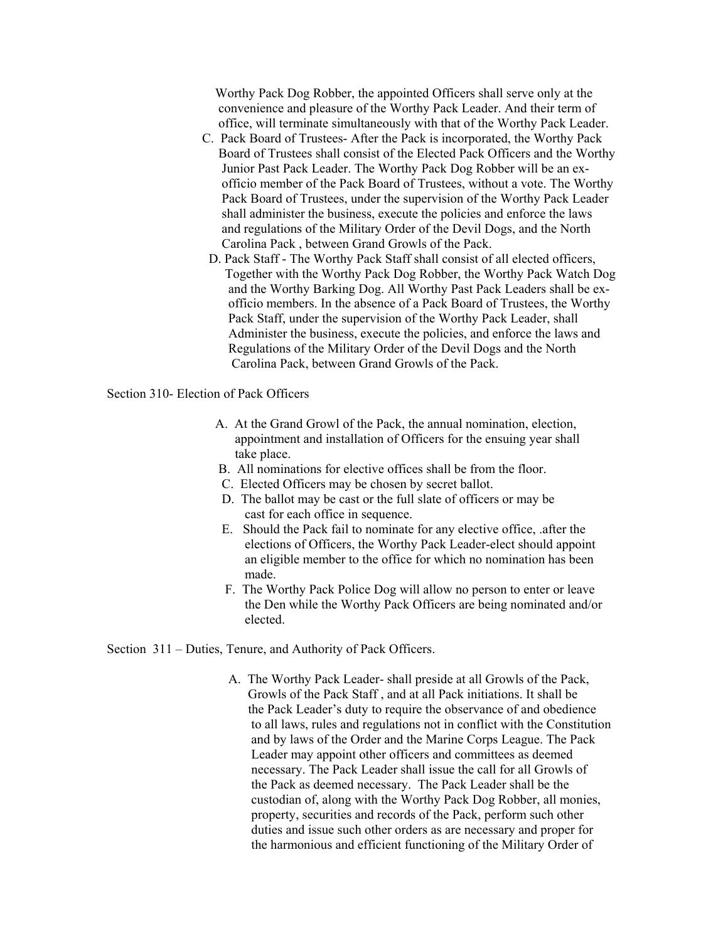Worthy Pack Dog Robber, the appointed Officers shall serve only at the convenience and pleasure of the Worthy Pack Leader. And their term of office, will terminate simultaneously with that of the Worthy Pack Leader.

- C. Pack Board of Trustees- After the Pack is incorporated, the Worthy Pack Board of Trustees shall consist of the Elected Pack Officers and the Worthy Junior Past Pack Leader. The Worthy Pack Dog Robber will be an ex officio member of the Pack Board of Trustees, without a vote. The Worthy Pack Board of Trustees, under the supervision of the Worthy Pack Leader shall administer the business, execute the policies and enforce the laws and regulations of the Military Order of the Devil Dogs, and the North Carolina Pack , between Grand Growls of the Pack.
- D. Pack Staff The Worthy Pack Staff shall consist of all elected officers, Together with the Worthy Pack Dog Robber, the Worthy Pack Watch Dog and the Worthy Barking Dog. All Worthy Past Pack Leaders shall be ex officio members. In the absence of a Pack Board of Trustees, the Worthy Pack Staff, under the supervision of the Worthy Pack Leader, shall Administer the business, execute the policies, and enforce the laws and Regulations of the Military Order of the Devil Dogs and the North Carolina Pack, between Grand Growls of the Pack.

Section 310- Election of Pack Officers

- A. At the Grand Growl of the Pack, the annual nomination, election, appointment and installation of Officers for the ensuing year shall take place.
- B. All nominations for elective offices shall be from the floor.
- C. Elected Officers may be chosen by secret ballot.
- D. The ballot may be cast or the full slate of officers or may be cast for each office in sequence.
- E. Should the Pack fail to nominate for any elective office, .after the elections of Officers, the Worthy Pack Leader-elect should appoint an eligible member to the office for which no nomination has been made.
- F. The Worthy Pack Police Dog will allow no person to enter or leave the Den while the Worthy Pack Officers are being nominated and/or elected.

Section 311 – Duties, Tenure, and Authority of Pack Officers.

 A. The Worthy Pack Leader- shall preside at all Growls of the Pack, Growls of the Pack Staff , and at all Pack initiations. It shall be the Pack Leader's duty to require the observance of and obedience to all laws, rules and regulations not in conflict with the Constitution and by laws of the Order and the Marine Corps League. The Pack Leader may appoint other officers and committees as deemed necessary. The Pack Leader shall issue the call for all Growls of the Pack as deemed necessary. The Pack Leader shall be the custodian of, along with the Worthy Pack Dog Robber, all monies, property, securities and records of the Pack, perform such other duties and issue such other orders as are necessary and proper for the harmonious and efficient functioning of the Military Order of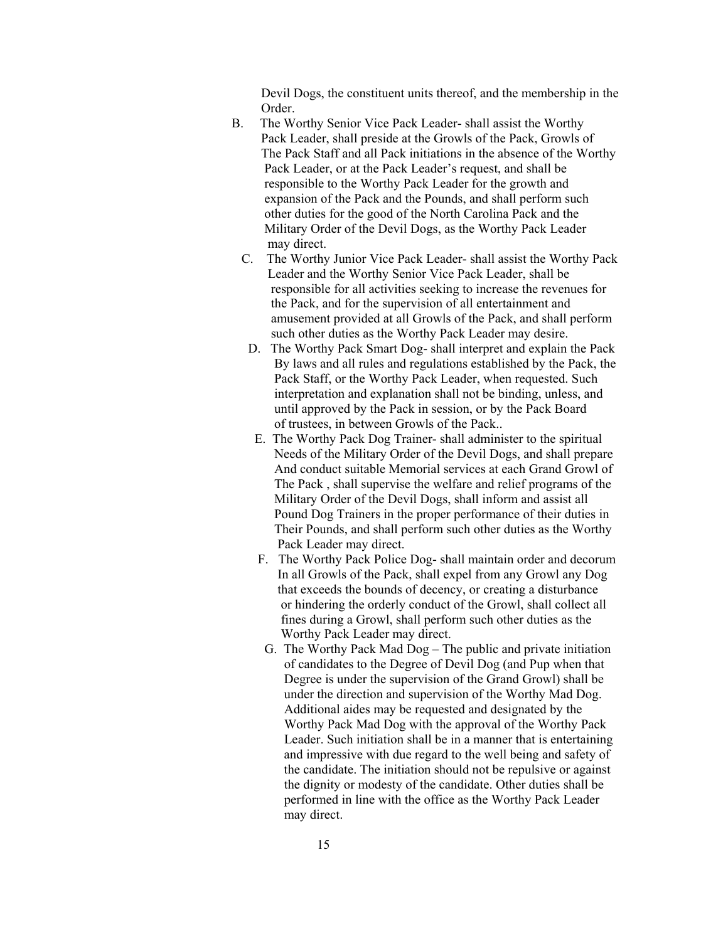Devil Dogs, the constituent units thereof, and the membership in the Order.

- B. The Worthy Senior Vice Pack Leader- shall assist the Worthy Pack Leader, shall preside at the Growls of the Pack, Growls of The Pack Staff and all Pack initiations in the absence of the Worthy Pack Leader, or at the Pack Leader's request, and shall be responsible to the Worthy Pack Leader for the growth and expansion of the Pack and the Pounds, and shall perform such other duties for the good of the North Carolina Pack and the Military Order of the Devil Dogs, as the Worthy Pack Leader may direct.
	- C. The Worthy Junior Vice Pack Leader- shall assist the Worthy Pack Leader and the Worthy Senior Vice Pack Leader, shall be responsible for all activities seeking to increase the revenues for the Pack, and for the supervision of all entertainment and amusement provided at all Growls of the Pack, and shall perform such other duties as the Worthy Pack Leader may desire.
	- D. The Worthy Pack Smart Dog- shall interpret and explain the Pack By laws and all rules and regulations established by the Pack, the Pack Staff, or the Worthy Pack Leader, when requested. Such interpretation and explanation shall not be binding, unless, and until approved by the Pack in session, or by the Pack Board of trustees, in between Growls of the Pack..
	- E. The Worthy Pack Dog Trainer- shall administer to the spiritual Needs of the Military Order of the Devil Dogs, and shall prepare And conduct suitable Memorial services at each Grand Growl of The Pack , shall supervise the welfare and relief programs of the Military Order of the Devil Dogs, shall inform and assist all Pound Dog Trainers in the proper performance of their duties in Their Pounds, and shall perform such other duties as the Worthy Pack Leader may direct.
	- F. The Worthy Pack Police Dog- shall maintain order and decorum In all Growls of the Pack, shall expel from any Growl any Dog that exceeds the bounds of decency, or creating a disturbance or hindering the orderly conduct of the Growl, shall collect all fines during a Growl, shall perform such other duties as the Worthy Pack Leader may direct.
	- G. The Worthy Pack Mad Dog The public and private initiation of candidates to the Degree of Devil Dog (and Pup when that Degree is under the supervision of the Grand Growl) shall be under the direction and supervision of the Worthy Mad Dog. Additional aides may be requested and designated by the Worthy Pack Mad Dog with the approval of the Worthy Pack Leader. Such initiation shall be in a manner that is entertaining and impressive with due regard to the well being and safety of the candidate. The initiation should not be repulsive or against the dignity or modesty of the candidate. Other duties shall be performed in line with the office as the Worthy Pack Leader may direct.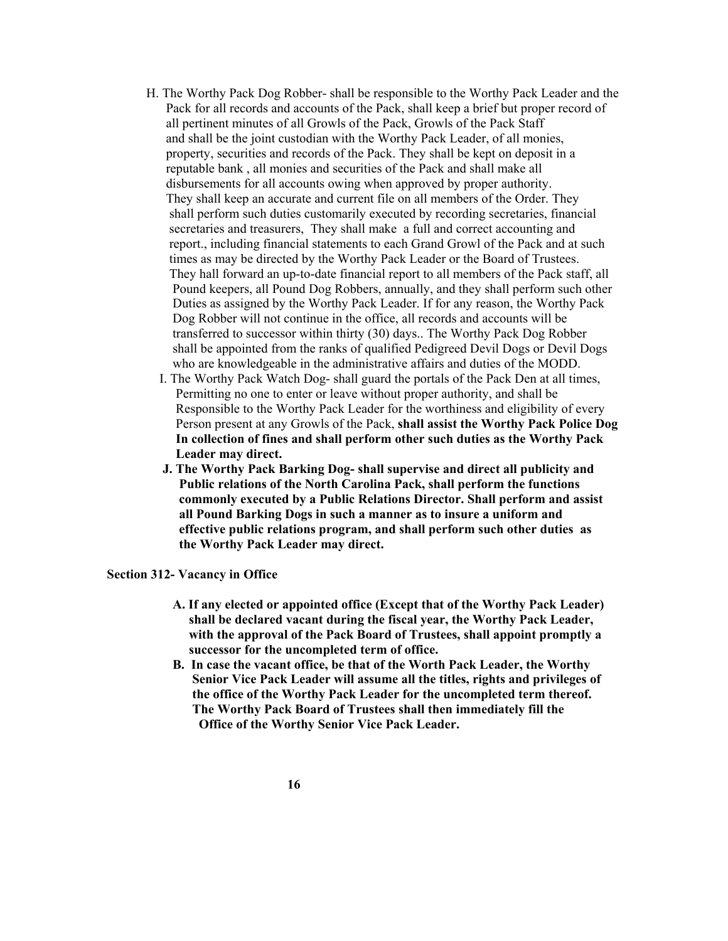- H. The Worthy Pack Dog Robber- shall be responsible to the Worthy Pack Leader and the Pack for all records and accounts of the Pack, shall keep a brief but proper record of all pertinent minutes of all Growls of the Pack, Growls of the Pack Staff and shall be the joint custodian with the Worthy Pack Leader, of all monies, property, securities and records of the Pack. They shall be kept on deposit in a reputable bank , all monies and securities of the Pack and shall make all disbursements for all accounts owing when approved by proper authority. They shall keep an accurate and current file on all members of the Order. They shall perform such duties customarily executed by recording secretaries, financial secretaries and treasurers, They shall make a full and correct accounting and report., including financial statements to each Grand Growl of the Pack and at such times as may be directed by the Worthy Pack Leader or the Board of Trustees. They hall forward an up-to-date financial report to all members of the Pack staff, all Pound keepers, all Pound Dog Robbers, annually, and they shall perform such other Duties as assigned by the Worthy Pack Leader. If for any reason, the Worthy Pack Dog Robber will not continue in the office, all records and accounts will be transferred to successor within thirty (30) days.. The Worthy Pack Dog Robber shall be appointed from the ranks of qualified Pedigreed Devil Dogs or Devil Dogs who are knowledgeable in the administrative affairs and duties of the MODD.
	- I. The Worthy Pack Watch Dog- shall guard the portals of the Pack Den at all times, Permitting no one to enter or leave without proper authority, and shall be Responsible to the Worthy Pack Leader for the worthiness and eligibility of every Person present at any Growls of the Pack, **shall assist the Worthy Pack Police Dog In collection of fines and shall perform other such duties as the Worthy Pack Leader may direct.**
	- **J. The Worthy Pack Barking Dog- shall supervise and direct all publicity and Public relations of the North Carolina Pack, shall perform the functions commonly executed by a Public Relations Director. Shall perform and assist all Pound Barking Dogs in such a manner as to insure a uniform and effective public relations program, and shall perform such other duties as the Worthy Pack Leader may direct.**

**Section 312- Vacancy in Office** 

- **A. If any elected or appointed office (Except that of the Worthy Pack Leader) shall be declared vacant during the fiscal year, the Worthy Pack Leader, with the approval of the Pack Board of Trustees, shall appoint promptly a successor for the uncompleted term of office.**
- **B. In case the vacant office, be that of the Worth Pack Leader, the Worthy Senior Vice Pack Leader will assume all the titles, rights and privileges of the office of the Worthy Pack Leader for the uncompleted term thereof. The Worthy Pack Board of Trustees shall then immediately fill the Office of the Worthy Senior Vice Pack Leader.**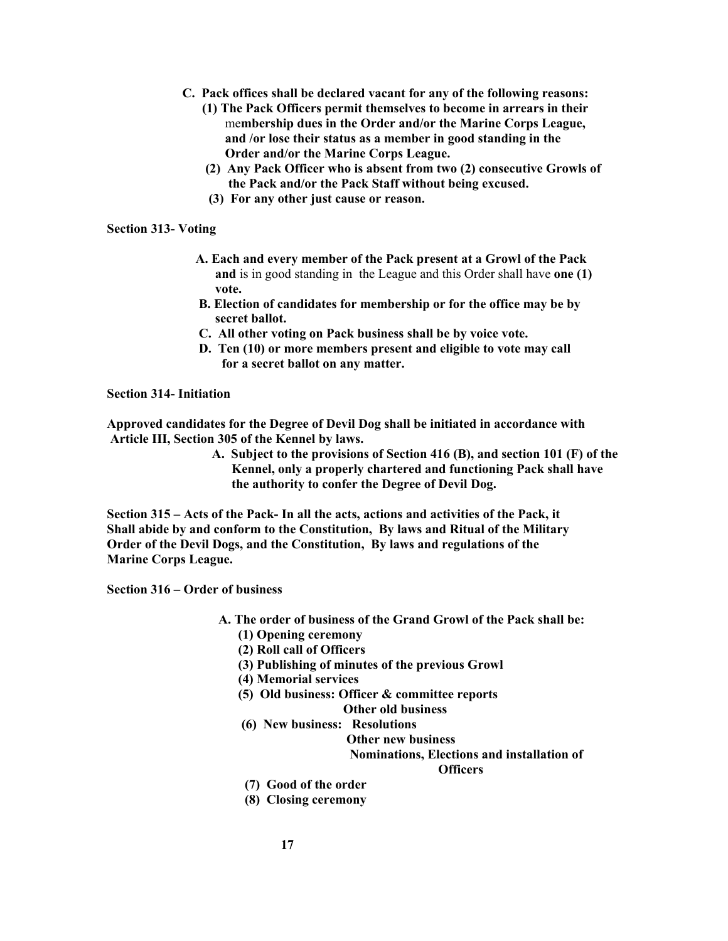- **C. Pack offices shall be declared vacant for any of the following reasons:** 
	- **(1) The Pack Officers permit themselves to become in arrears in their**  me**mbership dues in the Order and/or the Marine Corps League, and /or lose their status as a member in good standing in the Order and/or the Marine Corps League.**
	- **(2) Any Pack Officer who is absent from two (2) consecutive Growls of the Pack and/or the Pack Staff without being excused.**
	- **(3) For any other just cause or reason.**

**Section 313- Voting** 

- **A. Each and every member of the Pack present at a Growl of the Pack and** is in good standing in the League and this Order shall have **one (1) vote.**
- **B. Election of candidates for membership or for the office may be by secret ballot.**
- **C. All other voting on Pack business shall be by voice vote.**
- **D. Ten (10) or more members present and eligible to vote may call for a secret ballot on any matter.**

**Section 314- Initiation** 

**Approved candidates for the Degree of Devil Dog shall be initiated in accordance with Article III, Section 305 of the Kennel by laws.** 

> **A. Subject to the provisions of Section 416 (B), and section 101 (F) of the Kennel, only a properly chartered and functioning Pack shall have the authority to confer the Degree of Devil Dog.**

**Section 315 – Acts of the Pack- In all the acts, actions and activities of the Pack, it Shall abide by and conform to the Constitution, By laws and Ritual of the Military Order of the Devil Dogs, and the Constitution, By laws and regulations of the Marine Corps League.** 

**Section 316 – Order of business** 

- **A. The order of business of the Grand Growl of the Pack shall be:** 
	- **(1) Opening ceremony**
	- **(2) Roll call of Officers**
	- **(3) Publishing of minutes of the previous Growl**
	- **(4) Memorial services**
	- **(5) Old business: Officer & committee reports**

### **Other old business**

 **(6) New business: Resolutions** 

 **Other new business** 

### **Nominations, Elections and installation of**

### **Officers**

- **(7) Good of the order**
- **(8) Closing ceremony**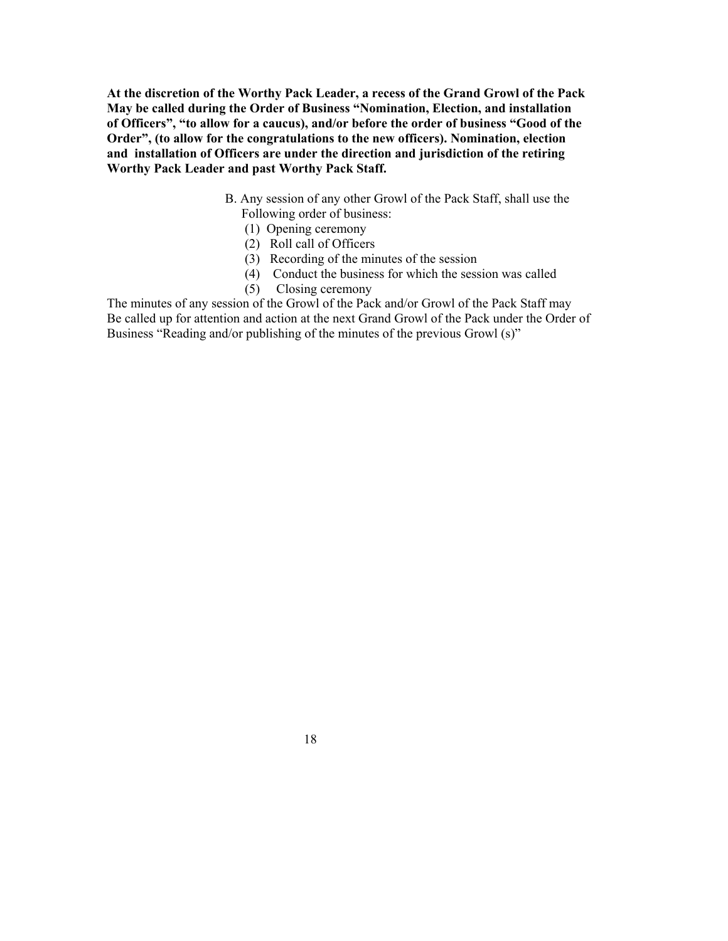**At the discretion of the Worthy Pack Leader, a recess of the Grand Growl of the Pack May be called during the Order of Business "Nomination, Election, and installation of Officers", "to allow for a caucus), and/or before the order of business "Good of the Order", (to allow for the congratulations to the new officers). Nomination, election and installation of Officers are under the direction and jurisdiction of the retiring Worthy Pack Leader and past Worthy Pack Staff.** 

- B. Any session of any other Growl of the Pack Staff, shall use the Following order of business:
	- (1) Opening ceremony
	- (2) Roll call of Officers
	- (3) Recording of the minutes of the session
	- (4) Conduct the business for which the session was called
		- (5) Closing ceremony

The minutes of any session of the Growl of the Pack and/or Growl of the Pack Staff may Be called up for attention and action at the next Grand Growl of the Pack under the Order of Business "Reading and/or publishing of the minutes of the previous Growl (s)"

18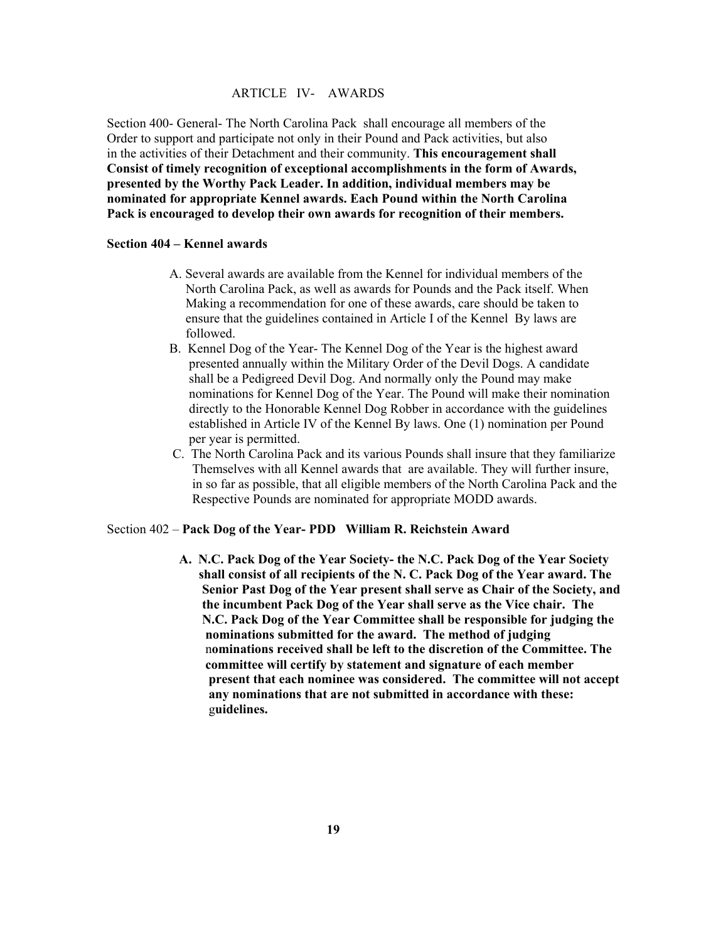#### ARTICLE IV- AWARDS

Section 400- General- The North Carolina Pack shall encourage all members of the Order to support and participate not only in their Pound and Pack activities, but also in the activities of their Detachment and their community. **This encouragement shall Consist of timely recognition of exceptional accomplishments in the form of Awards, presented by the Worthy Pack Leader. In addition, individual members may be nominated for appropriate Kennel awards. Each Pound within the North Carolina Pack is encouraged to develop their own awards for recognition of their members.** 

#### **Section 404 – Kennel awards**

- A. Several awards are available from the Kennel for individual members of the North Carolina Pack, as well as awards for Pounds and the Pack itself. When Making a recommendation for one of these awards, care should be taken to ensure that the guidelines contained in Article I of the Kennel By laws are followed.
- B. Kennel Dog of the Year- The Kennel Dog of the Year is the highest award presented annually within the Military Order of the Devil Dogs. A candidate shall be a Pedigreed Devil Dog. And normally only the Pound may make nominations for Kennel Dog of the Year. The Pound will make their nomination directly to the Honorable Kennel Dog Robber in accordance with the guidelines established in Article IV of the Kennel By laws. One (1) nomination per Pound per year is permitted.
- C. The North Carolina Pack and its various Pounds shall insure that they familiarize Themselves with all Kennel awards that are available. They will further insure, in so far as possible, that all eligible members of the North Carolina Pack and the Respective Pounds are nominated for appropriate MODD awards.

#### Section 402 – **Pack Dog of the Year- PDD William R. Reichstein Award**

 **A. N.C. Pack Dog of the Year Society- the N.C. Pack Dog of the Year Society shall consist of all recipients of the N. C. Pack Dog of the Year award. The Senior Past Dog of the Year present shall serve as Chair of the Society, and the incumbent Pack Dog of the Year shall serve as the Vice chair. The N.C. Pack Dog of the Year Committee shall be responsible for judging the nominations submitted for the award. The method of judging**  n**ominations received shall be left to the discretion of the Committee. The committee will certify by statement and signature of each member present that each nominee was considered. The committee will not accept any nominations that are not submitted in accordance with these:** g**uidelines.**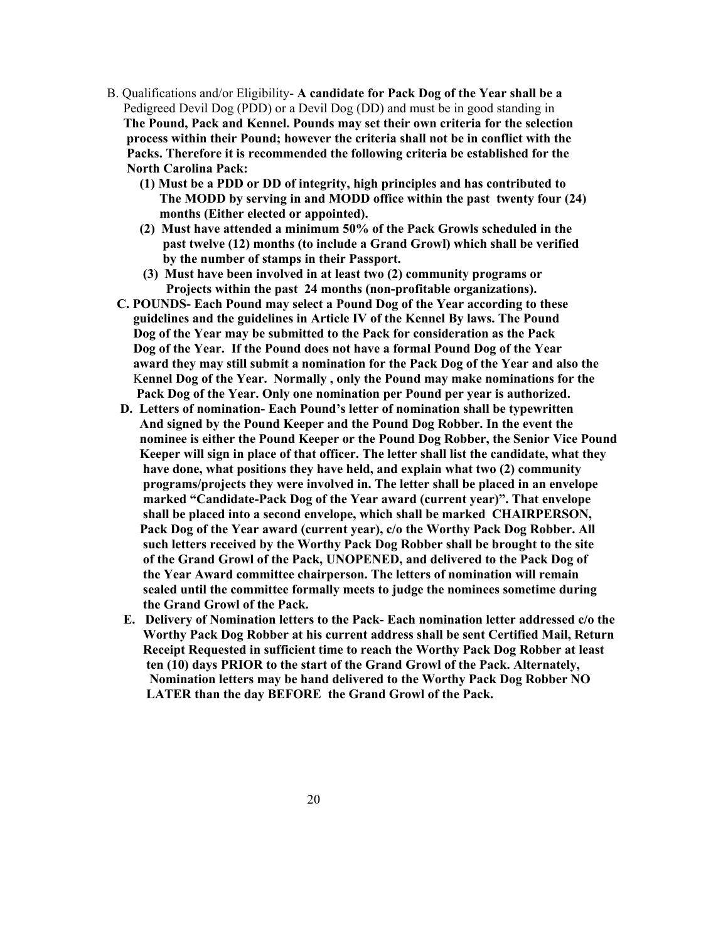- B. Qualifications and/or Eligibility- **A candidate for Pack Dog of the Year shall be a**  Pedigreed Devil Dog (PDD) or a Devil Dog (DD) and must be in good standing in  **The Pound, Pack and Kennel. Pounds may set their own criteria for the selection process within their Pound; however the criteria shall not be in conflict with the Packs. Therefore it is recommended the following criteria be established for the North Carolina Pack:** 
	- **(1) Must be a PDD or DD of integrity, high principles and has contributed to The MODD by serving in and MODD office within the past twenty four (24) months (Either elected or appointed).**
	- **(2) Must have attended a minimum 50% of the Pack Growls scheduled in the past twelve (12) months (to include a Grand Growl) which shall be verified by the number of stamps in their Passport.**
	- **(3) Must have been involved in at least two (2) community programs or Projects within the past 24 months (non-profitable organizations).**
	- **C. POUNDS- Each Pound may select a Pound Dog of the Year according to these guidelines and the guidelines in Article IV of the Kennel By laws. The Pound Dog of the Year may be submitted to the Pack for consideration as the Pack Dog of the Year. If the Pound does not have a formal Pound Dog of the Year award they may still submit a nomination for the Pack Dog of the Year and also the**  K**ennel Dog of the Year. Normally , only the Pound may make nominations for the Pack Dog of the Year. Only one nomination per Pound per year is authorized.**
	- **D. Letters of nomination- Each Pound's letter of nomination shall be typewritten And signed by the Pound Keeper and the Pound Dog Robber. In the event the nominee is either the Pound Keeper or the Pound Dog Robber, the Senior Vice Pound Keeper will sign in place of that officer. The letter shall list the candidate, what they have done, what positions they have held, and explain what two (2) community programs/projects they were involved in. The letter shall be placed in an envelope marked "Candidate-Pack Dog of the Year award (current year)". That envelope shall be placed into a second envelope, which shall be marked CHAIRPERSON, Pack Dog of the Year award (current year), c/o the Worthy Pack Dog Robber. All such letters received by the Worthy Pack Dog Robber shall be brought to the site of the Grand Growl of the Pack, UNOPENED, and delivered to the Pack Dog of the Year Award committee chairperson. The letters of nomination will remain sealed until the committee formally meets to judge the nominees sometime during the Grand Growl of the Pack.**
	- **E. Delivery of Nomination letters to the Pack- Each nomination letter addressed c/o the Worthy Pack Dog Robber at his current address shall be sent Certified Mail, Return Receipt Requested in sufficient time to reach the Worthy Pack Dog Robber at least ten (10) days PRIOR to the start of the Grand Growl of the Pack. Alternately, Nomination letters may be hand delivered to the Worthy Pack Dog Robber NO LATER than the day BEFORE the Grand Growl of the Pack.**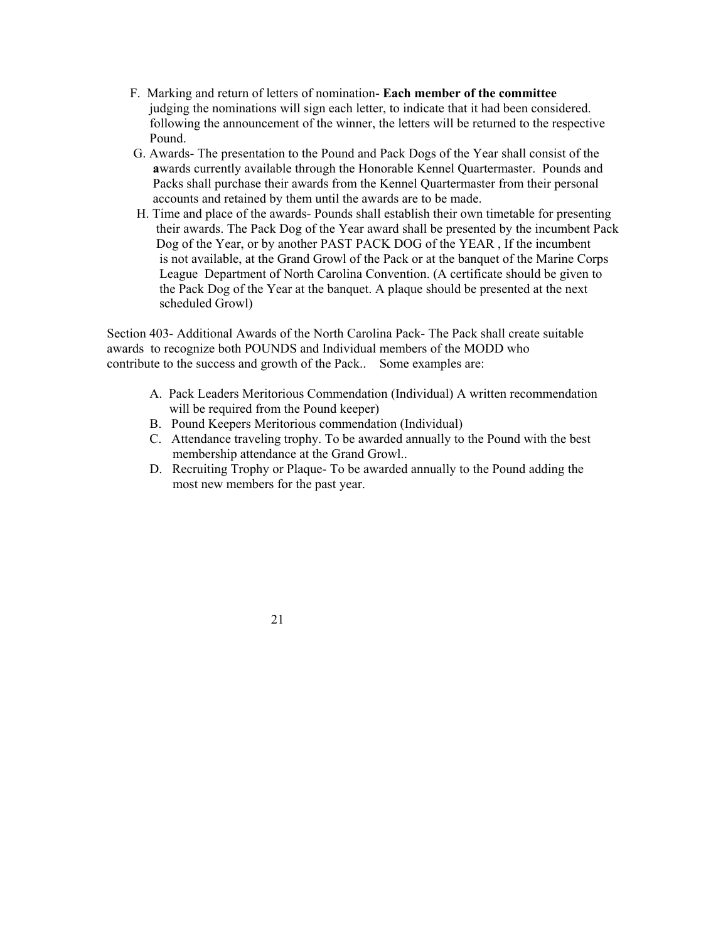- F. Marking and return of letters of nomination- **Each member of the committee**  judging the nominations will sign each letter, to indicate that it had been considered. following the announcement of the winner, the letters will be returned to the respective Pound.
- G. Awards- The presentation to the Pound and Pack Dogs of the Year shall consist of the  **a**wards currently available through the Honorable Kennel Quartermaster. Pounds and Packs shall purchase their awards from the Kennel Quartermaster from their personal accounts and retained by them until the awards are to be made.
- H. Time and place of the awards- Pounds shall establish their own timetable for presenting their awards. The Pack Dog of the Year award shall be presented by the incumbent Pack Dog of the Year, or by another PAST PACK DOG of the YEAR , If the incumbent is not available, at the Grand Growl of the Pack or at the banquet of the Marine Corps League Department of North Carolina Convention. (A certificate should be given to the Pack Dog of the Year at the banquet. A plaque should be presented at the next scheduled Growl)

Section 403- Additional Awards of the North Carolina Pack- The Pack shall create suitable awards to recognize both POUNDS and Individual members of the MODD who contribute to the success and growth of the Pack.. Some examples are:

- A. Pack Leaders Meritorious Commendation (Individual) A written recommendation will be required from the Pound keeper)
- B. Pound Keepers Meritorious commendation (Individual)
- C. Attendance traveling trophy. To be awarded annually to the Pound with the best membership attendance at the Grand Growl..
- D. Recruiting Trophy or Plaque- To be awarded annually to the Pound adding the most new members for the past year.

21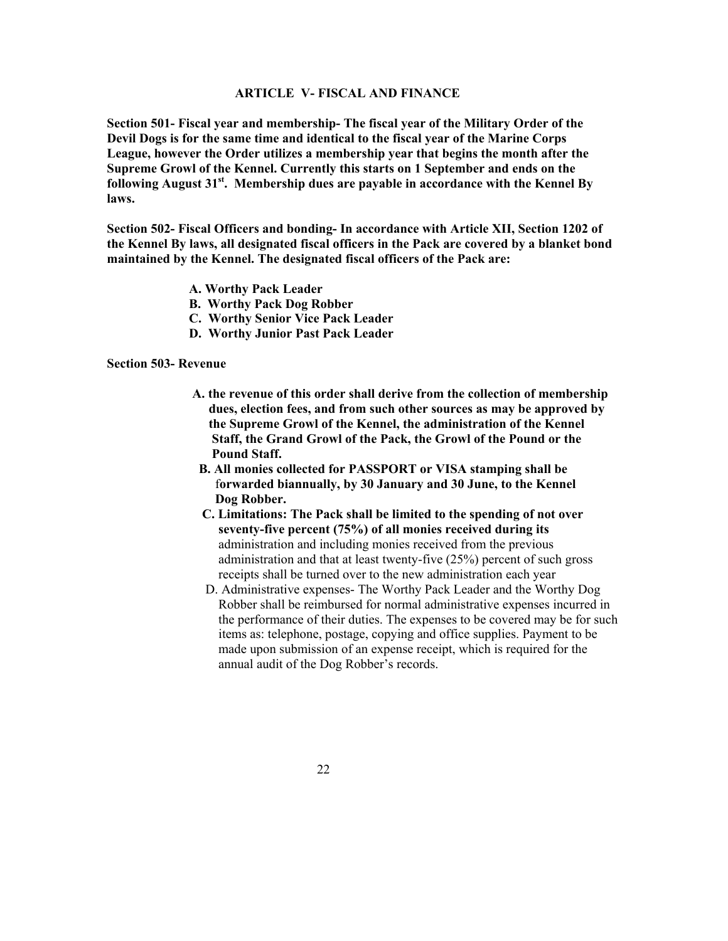#### **ARTICLE V- FISCAL AND FINANCE**

**Section 501- Fiscal year and membership- The fiscal year of the Military Order of the Devil Dogs is for the same time and identical to the fiscal year of the Marine Corps League, however the Order utilizes a membership year that begins the month after the Supreme Growl of the Kennel. Currently this starts on 1 September and ends on the following August 31st. Membership dues are payable in accordance with the Kennel By laws.** 

**Section 502- Fiscal Officers and bonding- In accordance with Article XII, Section 1202 of the Kennel By laws, all designated fiscal officers in the Pack are covered by a blanket bond maintained by the Kennel. The designated fiscal officers of the Pack are:** 

- **A. Worthy Pack Leader**
- **B. Worthy Pack Dog Robber**
- **C. Worthy Senior Vice Pack Leader**
- **D. Worthy Junior Past Pack Leader**

#### **Section 503- Revenue**

- **A. the revenue of this order shall derive from the collection of membership dues, election fees, and from such other sources as may be approved by the Supreme Growl of the Kennel, the administration of the Kennel Staff, the Grand Growl of the Pack, the Growl of the Pound or the Pound Staff.**
- **B. All monies collected for PASSPORT or VISA stamping shall be**  f**orwarded biannually, by 30 January and 30 June, to the Kennel Dog Robber.**
- **C. Limitations: The Pack shall be limited to the spending of not over seventy-five percent (75%) of all monies received during its**  administration and including monies received from the previous administration and that at least twenty-five (25%) percent of such gross receipts shall be turned over to the new administration each year
- D. Administrative expenses- The Worthy Pack Leader and the Worthy Dog Robber shall be reimbursed for normal administrative expenses incurred in the performance of their duties. The expenses to be covered may be for such items as: telephone, postage, copying and office supplies. Payment to be made upon submission of an expense receipt, which is required for the annual audit of the Dog Robber's records.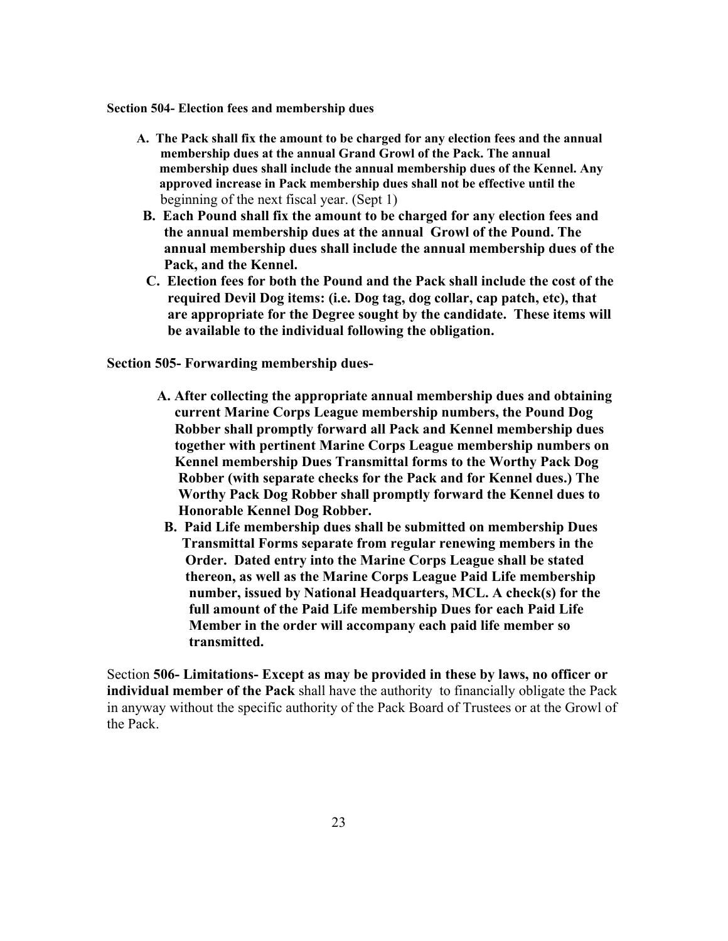**Section 504- Election fees and membership dues** 

- **A. The Pack shall fix the amount to be charged for any election fees and the annual membership dues at the annual Grand Growl of the Pack. The annual membership dues shall include the annual membership dues of the Kennel. Any approved increase in Pack membership dues shall not be effective until the**  beginning of the next fiscal year. (Sept 1)
- **B. Each Pound shall fix the amount to be charged for any election fees and the annual membership dues at the annual Growl of the Pound. The annual membership dues shall include the annual membership dues of the Pack, and the Kennel.**
- **C. Election fees for both the Pound and the Pack shall include the cost of the required Devil Dog items: (i.e. Dog tag, dog collar, cap patch, etc), that are appropriate for the Degree sought by the candidate. These items will be available to the individual following the obligation.**

**Section 505- Forwarding membership dues-** 

- **A. After collecting the appropriate annual membership dues and obtaining current Marine Corps League membership numbers, the Pound Dog Robber shall promptly forward all Pack and Kennel membership dues together with pertinent Marine Corps League membership numbers on Kennel membership Dues Transmittal forms to the Worthy Pack Dog Robber (with separate checks for the Pack and for Kennel dues.) The Worthy Pack Dog Robber shall promptly forward the Kennel dues to Honorable Kennel Dog Robber.** 
	- **B. Paid Life membership dues shall be submitted on membership Dues Transmittal Forms separate from regular renewing members in the Order. Dated entry into the Marine Corps League shall be stated thereon, as well as the Marine Corps League Paid Life membership number, issued by National Headquarters, MCL. A check(s) for the full amount of the Paid Life membership Dues for each Paid Life Member in the order will accompany each paid life member so transmitted.**

Section **506- Limitations- Except as may be provided in these by laws, no officer or individual member of the Pack** shall have the authority to financially obligate the Pack in anyway without the specific authority of the Pack Board of Trustees or at the Growl of the Pack.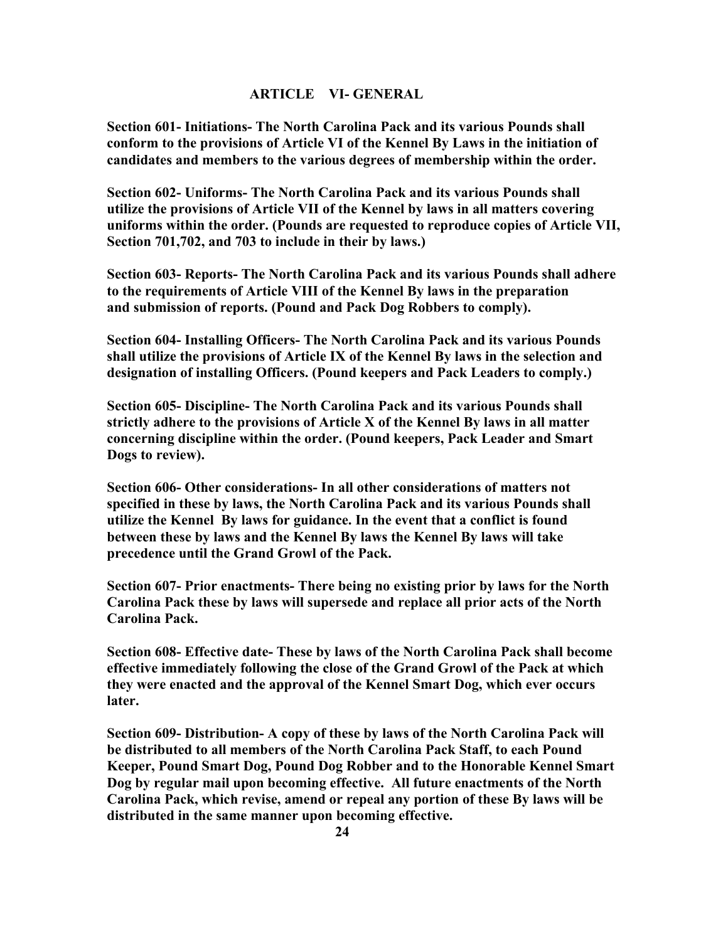### **ARTICLE VI- GENERAL**

**Section 601- Initiations- The North Carolina Pack and its various Pounds shall conform to the provisions of Article VI of the Kennel By Laws in the initiation of candidates and members to the various degrees of membership within the order.** 

**Section 602- Uniforms- The North Carolina Pack and its various Pounds shall utilize the provisions of Article VII of the Kennel by laws in all matters covering uniforms within the order. (Pounds are requested to reproduce copies of Article VII, Section 701,702, and 703 to include in their by laws.)** 

**Section 603- Reports- The North Carolina Pack and its various Pounds shall adhere to the requirements of Article VIII of the Kennel By laws in the preparation and submission of reports. (Pound and Pack Dog Robbers to comply).** 

**Section 604- Installing Officers- The North Carolina Pack and its various Pounds shall utilize the provisions of Article IX of the Kennel By laws in the selection and designation of installing Officers. (Pound keepers and Pack Leaders to comply.)** 

**Section 605- Discipline- The North Carolina Pack and its various Pounds shall strictly adhere to the provisions of Article X of the Kennel By laws in all matter concerning discipline within the order. (Pound keepers, Pack Leader and Smart Dogs to review).** 

**Section 606- Other considerations- In all other considerations of matters not specified in these by laws, the North Carolina Pack and its various Pounds shall utilize the Kennel By laws for guidance. In the event that a conflict is found between these by laws and the Kennel By laws the Kennel By laws will take precedence until the Grand Growl of the Pack.** 

**Section 607- Prior enactments- There being no existing prior by laws for the North Carolina Pack these by laws will supersede and replace all prior acts of the North Carolina Pack.** 

**Section 608- Effective date- These by laws of the North Carolina Pack shall become effective immediately following the close of the Grand Growl of the Pack at which they were enacted and the approval of the Kennel Smart Dog, which ever occurs later.** 

**Section 609- Distribution- A copy of these by laws of the North Carolina Pack will be distributed to all members of the North Carolina Pack Staff, to each Pound Keeper, Pound Smart Dog, Pound Dog Robber and to the Honorable Kennel Smart Dog by regular mail upon becoming effective. All future enactments of the North Carolina Pack, which revise, amend or repeal any portion of these By laws will be distributed in the same manner upon becoming effective.**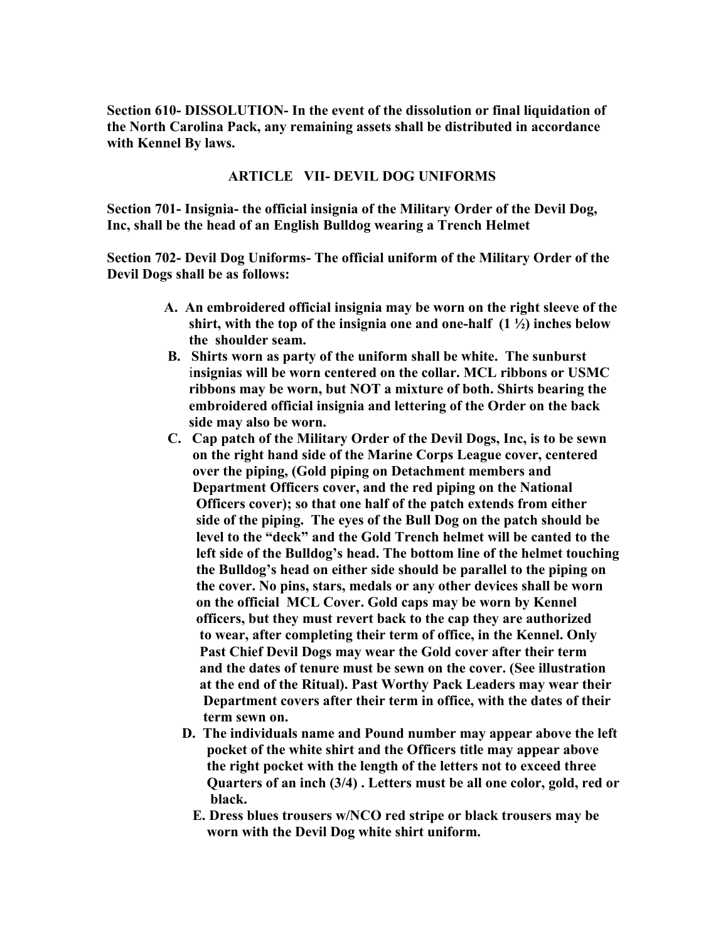**Section 610- DISSOLUTION- In the event of the dissolution or final liquidation of the North Carolina Pack, any remaining assets shall be distributed in accordance with Kennel By laws.** 

### **ARTICLE VII- DEVIL DOG UNIFORMS**

**Section 701- Insignia- the official insignia of the Military Order of the Devil Dog, Inc, shall be the head of an English Bulldog wearing a Trench Helmet** 

**Section 702- Devil Dog Uniforms- The official uniform of the Military Order of the Devil Dogs shall be as follows:** 

- **A. An embroidered official insignia may be worn on the right sleeve of the shirt, with the top of the insignia one and one-half (1 ½) inches below the shoulder seam.**
- **B. Shirts worn as party of the uniform shall be white. The sunburst**  i**nsignias will be worn centered on the collar. MCL ribbons or USMC ribbons may be worn, but NOT a mixture of both. Shirts bearing the embroidered official insignia and lettering of the Order on the back side may also be worn.**
- **C. Cap patch of the Military Order of the Devil Dogs, Inc, is to be sewn on the right hand side of the Marine Corps League cover, centered over the piping, (Gold piping on Detachment members and Department Officers cover, and the red piping on the National Officers cover); so that one half of the patch extends from either side of the piping. The eyes of the Bull Dog on the patch should be level to the "deck" and the Gold Trench helmet will be canted to the left side of the Bulldog's head. The bottom line of the helmet touching the Bulldog's head on either side should be parallel to the piping on the cover. No pins, stars, medals or any other devices shall be worn on the official MCL Cover. Gold caps may be worn by Kennel officers, but they must revert back to the cap they are authorized to wear, after completing their term of office, in the Kennel. Only Past Chief Devil Dogs may wear the Gold cover after their term and the dates of tenure must be sewn on the cover. (See illustration at the end of the Ritual). Past Worthy Pack Leaders may wear their Department covers after their term in office, with the dates of their term sewn on.** 
	- **D. The individuals name and Pound number may appear above the left pocket of the white shirt and the Officers title may appear above the right pocket with the length of the letters not to exceed three Quarters of an inch (3/4) . Letters must be all one color, gold, red or black.** 
		- **E. Dress blues trousers w/NCO red stripe or black trousers may be worn with the Devil Dog white shirt uniform.**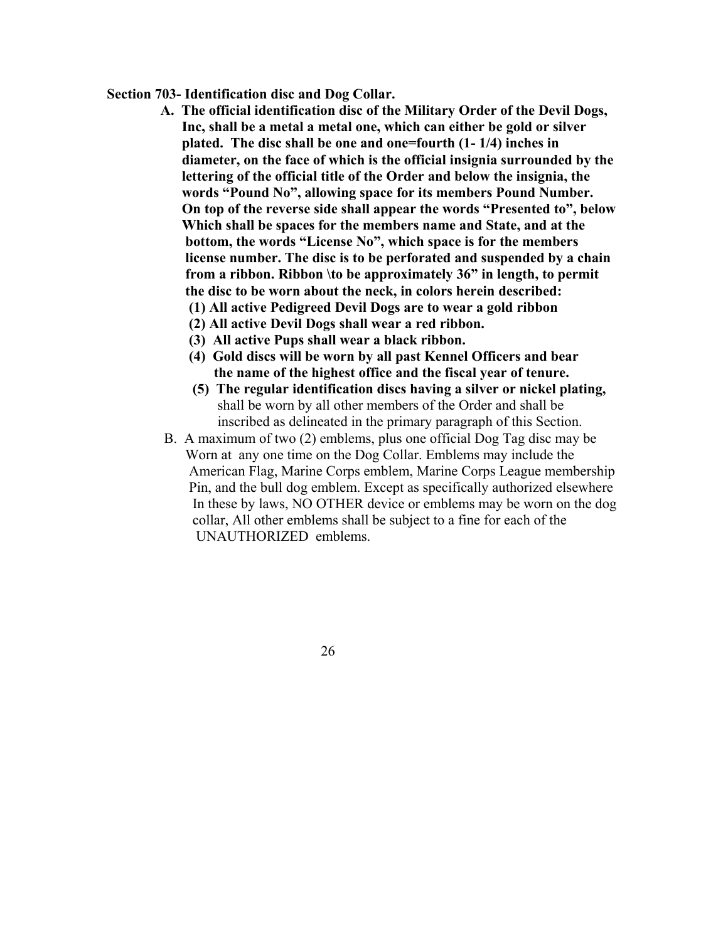- **Section 703- Identification disc and Dog Collar.** 
	- **A. The official identification disc of the Military Order of the Devil Dogs, Inc, shall be a metal a metal one, which can either be gold or silver plated. The disc shall be one and one=fourth (1- 1/4) inches in diameter, on the face of which is the official insignia surrounded by the lettering of the official title of the Order and below the insignia, the words "Pound No", allowing space for its members Pound Number. On top of the reverse side shall appear the words "Presented to", below Which shall be spaces for the members name and State, and at the bottom, the words "License No", which space is for the members license number. The disc is to be perforated and suspended by a chain from a ribbon. Ribbon \to be approximately 36" in length, to permit the disc to be worn about the neck, in colors herein described: (1) All active Pedigreed Devil Dogs are to wear a gold ribbon** 
		- **(2) All active Devil Dogs shall wear a red ribbon.**
		- **(3) All active Pups shall wear a black ribbon.**
		- **(4) Gold discs will be worn by all past Kennel Officers and bear the name of the highest office and the fiscal year of tenure.**
		- **(5) The regular identification discs having a silver or nickel plating,**  shall be worn by all other members of the Order and shall be inscribed as delineated in the primary paragraph of this Section.
	- B. A maximum of two (2) emblems, plus one official Dog Tag disc may be Worn at any one time on the Dog Collar. Emblems may include the American Flag, Marine Corps emblem, Marine Corps League membership Pin, and the bull dog emblem. Except as specifically authorized elsewhere In these by laws, NO OTHER device or emblems may be worn on the dog collar, All other emblems shall be subject to a fine for each of the UNAUTHORIZED emblems.